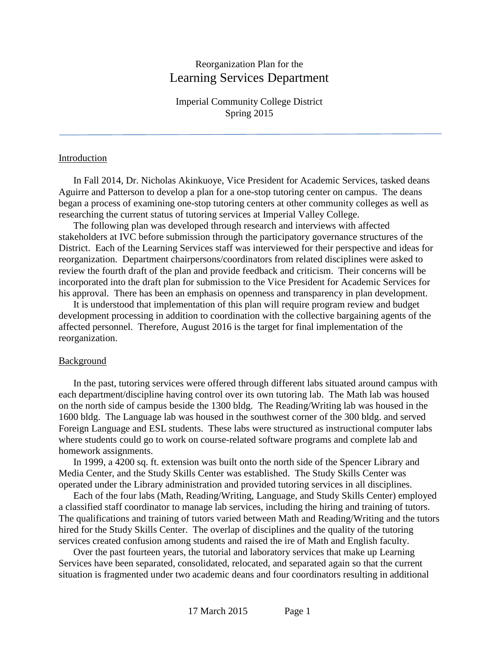# Reorganization Plan for the Learning Services Department

Imperial Community College District Spring 2015

#### Introduction

In Fall 2014, Dr. Nicholas Akinkuoye, Vice President for Academic Services, tasked deans Aguirre and Patterson to develop a plan for a one-stop tutoring center on campus. The deans began a process of examining one-stop tutoring centers at other community colleges as well as researching the current status of tutoring services at Imperial Valley College.

The following plan was developed through research and interviews with affected stakeholders at IVC before submission through the participatory governance structures of the District. Each of the Learning Services staff was interviewed for their perspective and ideas for reorganization. Department chairpersons/coordinators from related disciplines were asked to review the fourth draft of the plan and provide feedback and criticism. Their concerns will be incorporated into the draft plan for submission to the Vice President for Academic Services for his approval. There has been an emphasis on openness and transparency in plan development.

It is understood that implementation of this plan will require program review and budget development processing in addition to coordination with the collective bargaining agents of the affected personnel. Therefore, August 2016 is the target for final implementation of the reorganization.

#### **Background**

In the past, tutoring services were offered through different labs situated around campus with each department/discipline having control over its own tutoring lab. The Math lab was housed on the north side of campus beside the 1300 bldg. The Reading/Writing lab was housed in the 1600 bldg. The Language lab was housed in the southwest corner of the 300 bldg. and served Foreign Language and ESL students. These labs were structured as instructional computer labs where students could go to work on course-related software programs and complete lab and homework assignments.

In 1999, a 4200 sq. ft. extension was built onto the north side of the Spencer Library and Media Center, and the Study Skills Center was established. The Study Skills Center was operated under the Library administration and provided tutoring services in all disciplines.

Each of the four labs (Math, Reading/Writing, Language, and Study Skills Center) employed a classified staff coordinator to manage lab services, including the hiring and training of tutors. The qualifications and training of tutors varied between Math and Reading/Writing and the tutors hired for the Study Skills Center. The overlap of disciplines and the quality of the tutoring services created confusion among students and raised the ire of Math and English faculty.

Over the past fourteen years, the tutorial and laboratory services that make up Learning Services have been separated, consolidated, relocated, and separated again so that the current situation is fragmented under two academic deans and four coordinators resulting in additional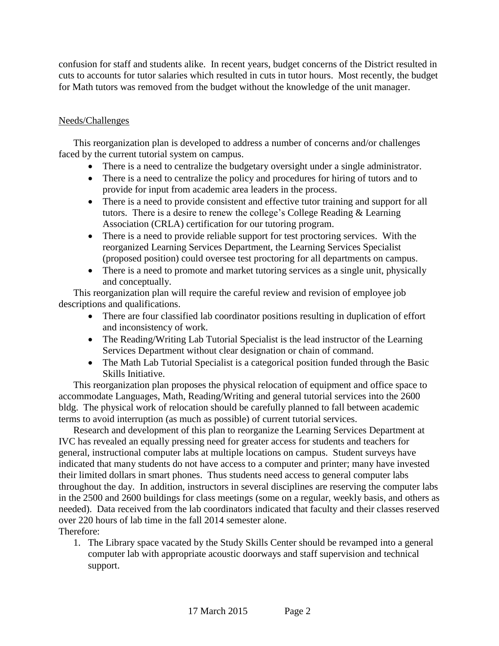confusion for staff and students alike. In recent years, budget concerns of the District resulted in cuts to accounts for tutor salaries which resulted in cuts in tutor hours. Most recently, the budget for Math tutors was removed from the budget without the knowledge of the unit manager.

## Needs/Challenges

This reorganization plan is developed to address a number of concerns and/or challenges faced by the current tutorial system on campus.

- There is a need to centralize the budgetary oversight under a single administrator.
- There is a need to centralize the policy and procedures for hiring of tutors and to provide for input from academic area leaders in the process.
- There is a need to provide consistent and effective tutor training and support for all tutors. There is a desire to renew the college's College Reading & Learning Association (CRLA) certification for our tutoring program.
- There is a need to provide reliable support for test proctoring services. With the reorganized Learning Services Department, the Learning Services Specialist (proposed position) could oversee test proctoring for all departments on campus.
- There is a need to promote and market tutoring services as a single unit, physically and conceptually.

This reorganization plan will require the careful review and revision of employee job descriptions and qualifications.

- There are four classified lab coordinator positions resulting in duplication of effort and inconsistency of work.
- The Reading/Writing Lab Tutorial Specialist is the lead instructor of the Learning Services Department without clear designation or chain of command.
- The Math Lab Tutorial Specialist is a categorical position funded through the Basic Skills Initiative.

This reorganization plan proposes the physical relocation of equipment and office space to accommodate Languages, Math, Reading/Writing and general tutorial services into the 2600 bldg. The physical work of relocation should be carefully planned to fall between academic terms to avoid interruption (as much as possible) of current tutorial services.

Research and development of this plan to reorganize the Learning Services Department at IVC has revealed an equally pressing need for greater access for students and teachers for general, instructional computer labs at multiple locations on campus. Student surveys have indicated that many students do not have access to a computer and printer; many have invested their limited dollars in smart phones. Thus students need access to general computer labs throughout the day. In addition, instructors in several disciplines are reserving the computer labs in the 2500 and 2600 buildings for class meetings (some on a regular, weekly basis, and others as needed). Data received from the lab coordinators indicated that faculty and their classes reserved over 220 hours of lab time in the fall 2014 semester alone. Therefore:

1. The Library space vacated by the Study Skills Center should be revamped into a general computer lab with appropriate acoustic doorways and staff supervision and technical support.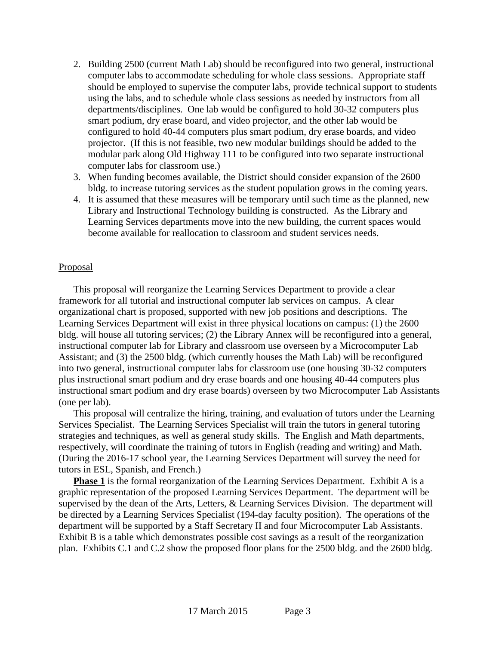- 2. Building 2500 (current Math Lab) should be reconfigured into two general, instructional computer labs to accommodate scheduling for whole class sessions. Appropriate staff should be employed to supervise the computer labs, provide technical support to students using the labs, and to schedule whole class sessions as needed by instructors from all departments/disciplines. One lab would be configured to hold 30-32 computers plus smart podium, dry erase board, and video projector, and the other lab would be configured to hold 40-44 computers plus smart podium, dry erase boards, and video projector. (If this is not feasible, two new modular buildings should be added to the modular park along Old Highway 111 to be configured into two separate instructional computer labs for classroom use.)
- 3. When funding becomes available, the District should consider expansion of the 2600 bldg. to increase tutoring services as the student population grows in the coming years.
- 4. It is assumed that these measures will be temporary until such time as the planned, new Library and Instructional Technology building is constructed. As the Library and Learning Services departments move into the new building, the current spaces would become available for reallocation to classroom and student services needs.

### **Proposal**

This proposal will reorganize the Learning Services Department to provide a clear framework for all tutorial and instructional computer lab services on campus. A clear organizational chart is proposed, supported with new job positions and descriptions. The Learning Services Department will exist in three physical locations on campus: (1) the 2600 bldg. will house all tutoring services; (2) the Library Annex will be reconfigured into a general, instructional computer lab for Library and classroom use overseen by a Microcomputer Lab Assistant; and (3) the 2500 bldg. (which currently houses the Math Lab) will be reconfigured into two general, instructional computer labs for classroom use (one housing 30-32 computers plus instructional smart podium and dry erase boards and one housing 40-44 computers plus instructional smart podium and dry erase boards) overseen by two Microcomputer Lab Assistants (one per lab).

This proposal will centralize the hiring, training, and evaluation of tutors under the Learning Services Specialist. The Learning Services Specialist will train the tutors in general tutoring strategies and techniques, as well as general study skills. The English and Math departments, respectively, will coordinate the training of tutors in English (reading and writing) and Math. (During the 2016-17 school year, the Learning Services Department will survey the need for tutors in ESL, Spanish, and French.)

**Phase 1** is the formal reorganization of the Learning Services Department. Exhibit A is a graphic representation of the proposed Learning Services Department. The department will be supervised by the dean of the Arts, Letters, & Learning Services Division. The department will be directed by a Learning Services Specialist (194-day faculty position). The operations of the department will be supported by a Staff Secretary II and four Microcomputer Lab Assistants. Exhibit B is a table which demonstrates possible cost savings as a result of the reorganization plan. Exhibits C.1 and C.2 show the proposed floor plans for the 2500 bldg. and the 2600 bldg.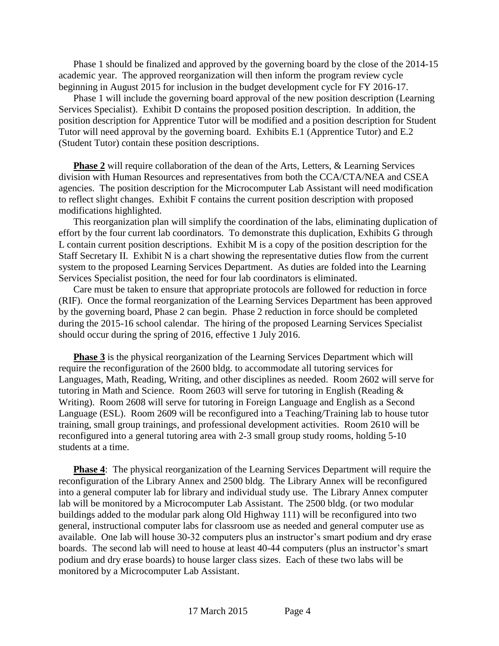Phase 1 should be finalized and approved by the governing board by the close of the 2014-15 academic year. The approved reorganization will then inform the program review cycle beginning in August 2015 for inclusion in the budget development cycle for FY 2016-17.

Phase 1 will include the governing board approval of the new position description (Learning Services Specialist). Exhibit D contains the proposed position description. In addition, the position description for Apprentice Tutor will be modified and a position description for Student Tutor will need approval by the governing board. Exhibits E.1 (Apprentice Tutor) and E.2 (Student Tutor) contain these position descriptions.

**Phase 2** will require collaboration of the dean of the Arts, Letters, & Learning Services division with Human Resources and representatives from both the CCA/CTA/NEA and CSEA agencies. The position description for the Microcomputer Lab Assistant will need modification to reflect slight changes. Exhibit F contains the current position description with proposed modifications highlighted.

This reorganization plan will simplify the coordination of the labs, eliminating duplication of effort by the four current lab coordinators. To demonstrate this duplication, Exhibits G through L contain current position descriptions. Exhibit M is a copy of the position description for the Staff Secretary II. Exhibit N is a chart showing the representative duties flow from the current system to the proposed Learning Services Department. As duties are folded into the Learning Services Specialist position, the need for four lab coordinators is eliminated.

Care must be taken to ensure that appropriate protocols are followed for reduction in force (RIF). Once the formal reorganization of the Learning Services Department has been approved by the governing board, Phase 2 can begin. Phase 2 reduction in force should be completed during the 2015-16 school calendar. The hiring of the proposed Learning Services Specialist should occur during the spring of 2016, effective 1 July 2016.

**Phase 3** is the physical reorganization of the Learning Services Department which will require the reconfiguration of the 2600 bldg. to accommodate all tutoring services for Languages, Math, Reading, Writing, and other disciplines as needed. Room 2602 will serve for tutoring in Math and Science. Room 2603 will serve for tutoring in English (Reading & Writing). Room 2608 will serve for tutoring in Foreign Language and English as a Second Language (ESL). Room 2609 will be reconfigured into a Teaching/Training lab to house tutor training, small group trainings, and professional development activities. Room 2610 will be reconfigured into a general tutoring area with 2-3 small group study rooms, holding 5-10 students at a time.

**Phase 4:** The physical reorganization of the Learning Services Department will require the reconfiguration of the Library Annex and 2500 bldg. The Library Annex will be reconfigured into a general computer lab for library and individual study use. The Library Annex computer lab will be monitored by a Microcomputer Lab Assistant. The 2500 bldg. (or two modular buildings added to the modular park along Old Highway 111) will be reconfigured into two general, instructional computer labs for classroom use as needed and general computer use as available. One lab will house 30-32 computers plus an instructor's smart podium and dry erase boards. The second lab will need to house at least 40-44 computers (plus an instructor's smart podium and dry erase boards) to house larger class sizes. Each of these two labs will be monitored by a Microcomputer Lab Assistant.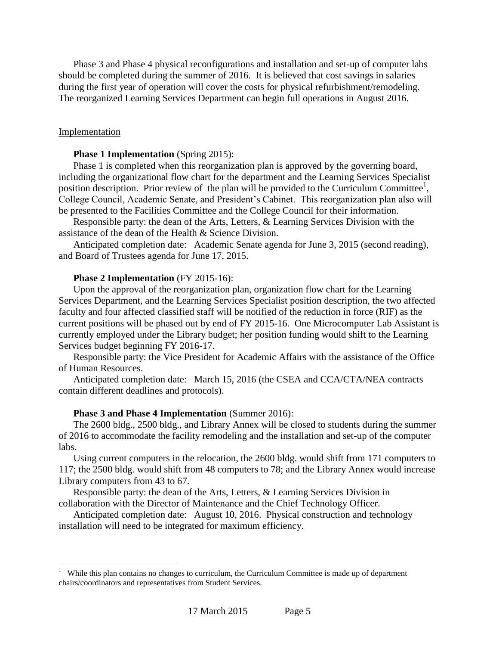Phase 3 and Phase 4 physical reconfigurations and installation and set-up of computer labs should be completed during the summer of 2016. It is believed that cost savings in salaries during the first year of operation will cover the costs for physical refurbishment/remodeling. The reorganized Learning Services Department can begin full operations in August 2016.

#### **Implementation**

#### **Phase 1 Implementation** (Spring 2015):

Phase 1 is completed when this reorganization plan is approved by the governing board, including the organizational flow chart for the department and the Learning Services Specialist position description. Prior review of the plan will be provided to the Curriculum Committee<sup>1</sup>, College Council, Academic Senate, and President's Cabinet. This reorganization plan also will be presented to the Facilities Committee and the College Council for their information.

Responsible party: the dean of the Arts, Letters, & Learning Services Division with the assistance of the dean of the Health & Science Division.

Anticipated completion date: Academic Senate agenda for June 3, 2015 (second reading), and Board of Trustees agenda for June 17, 2015.

#### **Phase 2 Implementation** (FY 2015-16):

Upon the approval of the reorganization plan, organization flow chart for the Learning Services Department, and the Learning Services Specialist position description, the two affected faculty and four affected classified staff will be notified of the reduction in force (RIF) as the current positions will be phased out by end of FY 2015-16. One Microcomputer Lab Assistant is currently employed under the Library budget; her position funding would shift to the Learning Services budget beginning FY 2016-17.

Responsible party: the Vice President for Academic Affairs with the assistance of the Office of Human Resources.

Anticipated completion date: March 15, 2016 (the CSEA and CCA/CTA/NEA contracts contain different deadlines and protocols).

#### **Phase 3 and Phase 4 Implementation** (Summer 2016):

The 2600 bldg., 2500 bldg., and Library Annex will be closed to students during the summer of 2016 to accommodate the facility remodeling and the installation and set-up of the computer labs.

Using current computers in the relocation, the 2600 bldg. would shift from 171 computers to 117; the 2500 bldg. would shift from 48 computers to 78; and the Library Annex would increase Library computers from 43 to 67.

Responsible party: the dean of the Arts, Letters, & Learning Services Division in collaboration with the Director of Maintenance and the Chief Technology Officer.

Anticipated completion date: August 10, 2016. Physical construction and technology installation will need to be integrated for maximum efficiency.

 1 While this plan contains no changes to curriculum, the Curriculum Committee is made up of department chairs/coordinators and representatives from Student Services.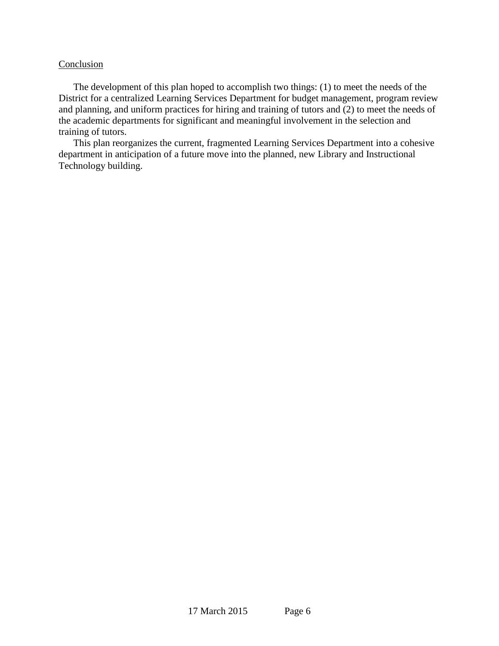### Conclusion

The development of this plan hoped to accomplish two things: (1) to meet the needs of the District for a centralized Learning Services Department for budget management, program review and planning, and uniform practices for hiring and training of tutors and (2) to meet the needs of the academic departments for significant and meaningful involvement in the selection and training of tutors.

This plan reorganizes the current, fragmented Learning Services Department into a cohesive department in anticipation of a future move into the planned, new Library and Instructional Technology building.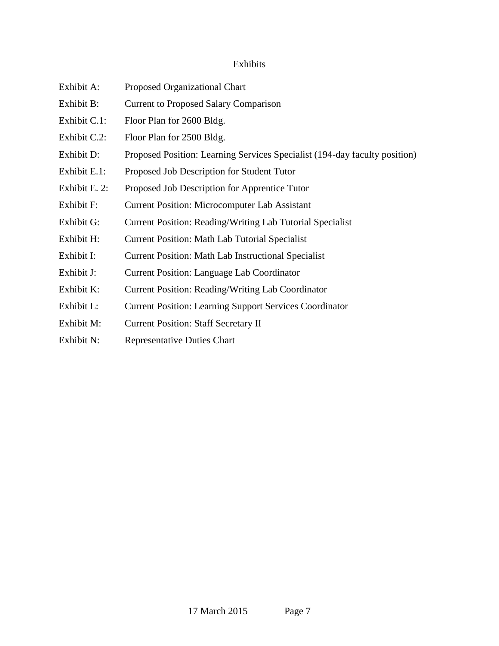### Exhibits

- Exhibit A: Proposed Organizational Chart
- Exhibit B: Current to Proposed Salary Comparison
- Exhibit C.1: Floor Plan for 2600 Bldg.
- Exhibit C.2: Floor Plan for 2500 Bldg.
- Exhibit D: Proposed Position: Learning Services Specialist (194-day faculty position)
- Exhibit E.1: Proposed Job Description for Student Tutor
- Exhibit E. 2: Proposed Job Description for Apprentice Tutor
- Exhibit F: Current Position: Microcomputer Lab Assistant
- Exhibit G: Current Position: Reading/Writing Lab Tutorial Specialist
- Exhibit H: Current Position: Math Lab Tutorial Specialist
- Exhibit I: Current Position: Math Lab Instructional Specialist
- Exhibit J: Current Position: Language Lab Coordinator
- Exhibit K: Current Position: Reading/Writing Lab Coordinator
- Exhibit L: Current Position: Learning Support Services Coordinator
- Exhibit M: Current Position: Staff Secretary II
- Exhibit N: Representative Duties Chart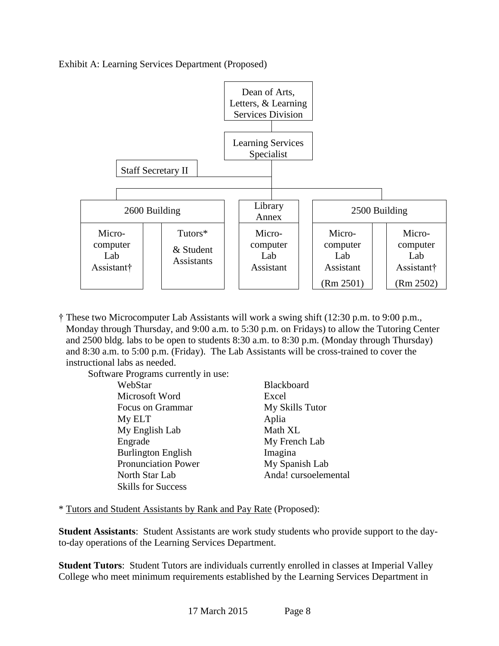



† These two Microcomputer Lab Assistants will work a swing shift (12:30 p.m. to 9:00 p.m., Monday through Thursday, and 9:00 a.m. to 5:30 p.m. on Fridays) to allow the Tutoring Center and 2500 bldg. labs to be open to students 8:30 a.m. to 8:30 p.m. (Monday through Thursday) and 8:30 a.m. to 5:00 p.m. (Friday). The Lab Assistants will be cross-trained to cover the instructional labs as needed.

Software Programs currently in use:

| WebStar                    | <b>Black</b> |
|----------------------------|--------------|
| Microsoft Word             | Excel        |
| <b>Focus on Grammar</b>    | MyS          |
| My ELT                     | Aplia        |
| My English Lab             | Math         |
| Engrade                    | MyF          |
| <b>Burlington English</b>  | Imagi        |
| <b>Pronunciation Power</b> | MyS          |
| North Star Lab             | Anda         |
| <b>Skills for Success</b>  |              |

Blackboard My Skills Tutor Aplia Math XL My French Lab Imagina My Spanish Lab Anda! cursoelemental

\* Tutors and Student Assistants by Rank and Pay Rate (Proposed):

**Student Assistants**: Student Assistants are work study students who provide support to the dayto-day operations of the Learning Services Department.

**Student Tutors**: Student Tutors are individuals currently enrolled in classes at Imperial Valley College who meet minimum requirements established by the Learning Services Department in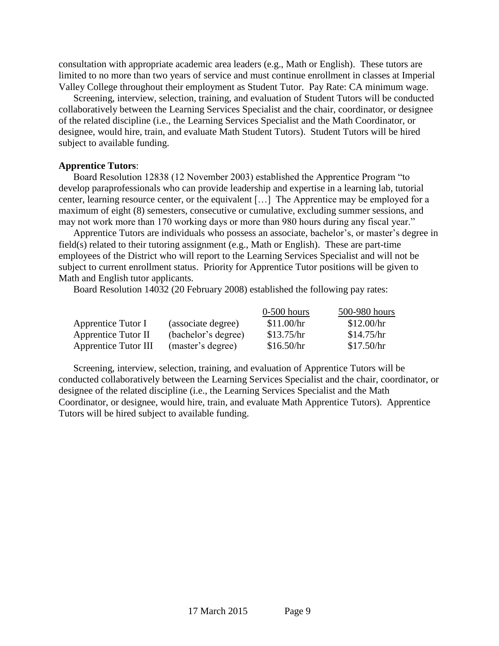consultation with appropriate academic area leaders (e.g., Math or English). These tutors are limited to no more than two years of service and must continue enrollment in classes at Imperial Valley College throughout their employment as Student Tutor. Pay Rate: CA minimum wage.

Screening, interview, selection, training, and evaluation of Student Tutors will be conducted collaboratively between the Learning Services Specialist and the chair, coordinator, or designee of the related discipline (i.e., the Learning Services Specialist and the Math Coordinator, or designee, would hire, train, and evaluate Math Student Tutors). Student Tutors will be hired subject to available funding.

#### **Apprentice Tutors**:

Board Resolution 12838 (12 November 2003) established the Apprentice Program "to develop paraprofessionals who can provide leadership and expertise in a learning lab, tutorial center, learning resource center, or the equivalent […] The Apprentice may be employed for a maximum of eight (8) semesters, consecutive or cumulative, excluding summer sessions, and may not work more than 170 working days or more than 980 hours during any fiscal year."

Apprentice Tutors are individuals who possess an associate, bachelor's, or master's degree in field(s) related to their tutoring assignment (e.g., Math or English). These are part-time employees of the District who will report to the Learning Services Specialist and will not be subject to current enrollment status. Priority for Apprentice Tutor positions will be given to Math and English tutor applicants.

Board Resolution 14032 (20 February 2008) established the following pay rates:

|                             |                     | $0-500$ hours | 500-980 hours |
|-----------------------------|---------------------|---------------|---------------|
| Apprentice Tutor I          | (associate degree)  | \$11.00/hr    | \$12.00/hr    |
| Apprentice Tutor II         | (bachelor's degree) | \$13.75/hr    | \$14.75/hr    |
| <b>Apprentice Tutor III</b> | (master's degree)   | \$16.50/hr    | \$17.50/hr    |

Screening, interview, selection, training, and evaluation of Apprentice Tutors will be conducted collaboratively between the Learning Services Specialist and the chair, coordinator, or designee of the related discipline (i.e., the Learning Services Specialist and the Math Coordinator, or designee, would hire, train, and evaluate Math Apprentice Tutors). Apprentice Tutors will be hired subject to available funding.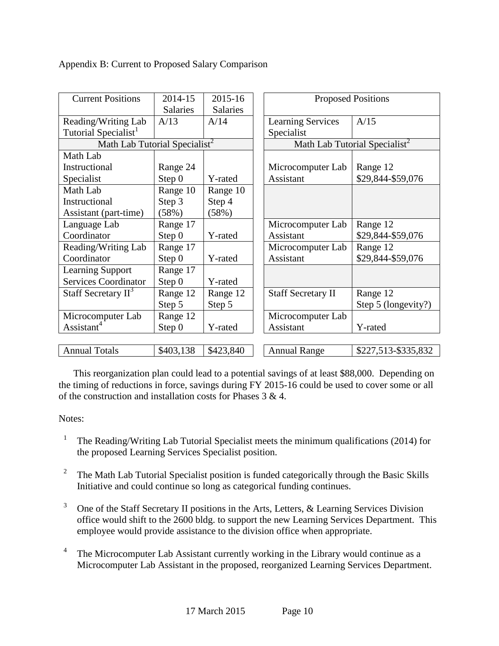Appendix B: Current to Proposed Salary Comparison

| <b>Current Positions</b>                  | 2014-15<br><b>Salaries</b> | 2015-16<br><b>Salaries</b>                | <b>Proposed Positions</b>                  |
|-------------------------------------------|----------------------------|-------------------------------------------|--------------------------------------------|
| Reading/Writing Lab                       | A/13                       | A/14                                      | <b>Learning Services</b><br>A/15           |
| Tutorial Specialist <sup>1</sup>          |                            |                                           | Specialist                                 |
| Math Lab Tutorial Specialist <sup>2</sup> |                            | Math Lab Tutorial Specialist <sup>2</sup> |                                            |
| Math Lab                                  |                            |                                           |                                            |
| Instructional                             | Range 24                   |                                           | Microcomputer Lab<br>Range 12              |
| Specialist                                | Step 0                     | Y-rated                                   | \$29,844-\$59,076<br>Assistant             |
| Math Lab                                  | Range 10                   | Range 10                                  |                                            |
| Instructional                             | Step 3                     | Step 4                                    |                                            |
| Assistant (part-time)                     | (58%)                      | (58%)                                     |                                            |
| Language Lab                              | Range 17                   |                                           | Microcomputer Lab<br>Range 12              |
| Coordinator                               | Step 0                     | Y-rated                                   | \$29,844-\$59,076<br>Assistant             |
| Reading/Writing Lab                       | Range 17                   |                                           | Range 12<br>Microcomputer Lab              |
| Coordinator                               | Step 0                     | Y-rated                                   | \$29,844-\$59,076<br>Assistant             |
| <b>Learning Support</b>                   | Range 17                   |                                           |                                            |
| <b>Services Coordinator</b>               | Step 0                     | Y-rated                                   |                                            |
| Staff Secretary II <sup>3</sup>           | Range 12                   | Range 12                                  | <b>Staff Secretary II</b><br>Range 12      |
|                                           | Step 5                     | Step 5                                    | Step 5 (longevity?)                        |
| Microcomputer Lab                         | Range 12                   |                                           | Microcomputer Lab                          |
| Assistant <sup>4</sup>                    | Step 0                     | Y-rated                                   | Assistant<br>Y-rated                       |
|                                           |                            |                                           |                                            |
| <b>Annual Totals</b>                      | \$403,138                  | \$423,840                                 | <b>Annual Range</b><br>\$227,513-\$335,832 |

This reorganization plan could lead to a potential savings of at least \$88,000. Depending on the timing of reductions in force, savings during FY 2015-16 could be used to cover some or all of the construction and installation costs for Phases 3 & 4.

## Notes:

- 1 The Reading/Writing Lab Tutorial Specialist meets the minimum qualifications (2014) for the proposed Learning Services Specialist position.
- 2 The Math Lab Tutorial Specialist position is funded categorically through the Basic Skills Initiative and could continue so long as categorical funding continues.
- 3 One of the Staff Secretary II positions in the Arts, Letters, & Learning Services Division office would shift to the 2600 bldg. to support the new Learning Services Department. This employee would provide assistance to the division office when appropriate.
- 4 The Microcomputer Lab Assistant currently working in the Library would continue as a Microcomputer Lab Assistant in the proposed, reorganized Learning Services Department.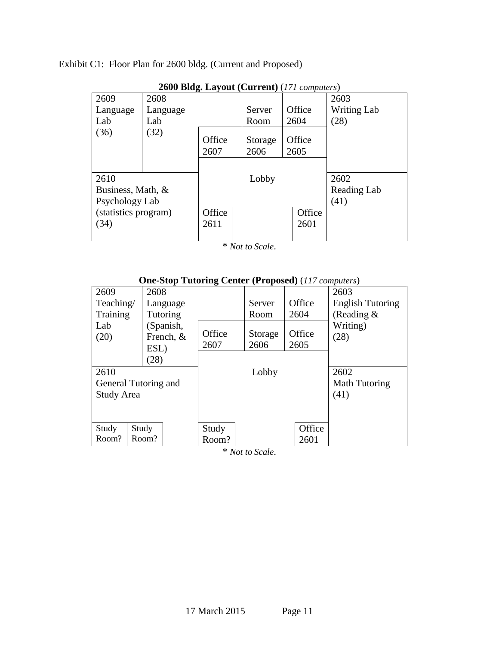Exhibit C1: Floor Plan for 2600 bldg. (Current and Proposed)

| 2000 DRg. Layout (Current) (171 computers) |          |                |                 |                |                    |  |  |  |  |  |  |
|--------------------------------------------|----------|----------------|-----------------|----------------|--------------------|--|--|--|--|--|--|
| 2609                                       | 2608     |                |                 |                | 2603               |  |  |  |  |  |  |
| Language                                   | Language |                | Server          | Office         | <b>Writing Lab</b> |  |  |  |  |  |  |
| Lab                                        | Lab      |                | Room            | 2604           | (28)               |  |  |  |  |  |  |
| (36)                                       | (32)     | Office<br>2607 | Storage<br>2606 | Office<br>2605 |                    |  |  |  |  |  |  |
| 2610                                       |          |                | Lobby           |                | 2602               |  |  |  |  |  |  |
| Business, Math, &                          |          |                |                 |                | Reading Lab        |  |  |  |  |  |  |
| Psychology Lab                             |          |                |                 |                | (41)               |  |  |  |  |  |  |
| (statistics program)                       |          | Office         |                 | Office         |                    |  |  |  |  |  |  |
| (34)                                       |          | 2611           |                 | 2601           |                    |  |  |  |  |  |  |
|                                            |          |                |                 |                |                    |  |  |  |  |  |  |

**2600 Bldg. Layout (Current)** (*171 computers*)

\* *Not to Scale*.

|                   | One-Stop Tutting Center (Troposeu) (117 compaters) |        |         |        |                         |
|-------------------|----------------------------------------------------|--------|---------|--------|-------------------------|
| 2609              | 2608                                               |        |         |        | 2603                    |
| Teaching/         | Language                                           |        | Server  | Office | <b>English Tutoring</b> |
| Training          | Tutoring                                           |        | Room    | 2604   | (Reading $\&$           |
| Lab               | (Spanish,                                          |        |         |        | Writing)                |
| (20)              | French, &                                          | Office | Storage | Office | (28)                    |
|                   | ESL)                                               | 2607   | 2606    | 2605   |                         |
|                   | (28)                                               |        |         |        |                         |
| 2610              |                                                    |        | Lobby   |        | 2602                    |
|                   | General Tutoring and                               |        |         |        | Math Tutoring           |
| <b>Study Area</b> |                                                    |        |         |        | (41)                    |
|                   |                                                    |        |         |        |                         |
|                   |                                                    |        |         |        |                         |
| Study             | Study                                              | Study  |         | Office |                         |
| Room?             | Room?                                              | Room?  |         | 2601   |                         |

## **One-Stop Tutoring Center (Proposed)** (*117 computers*)

\* *Not to Scale*.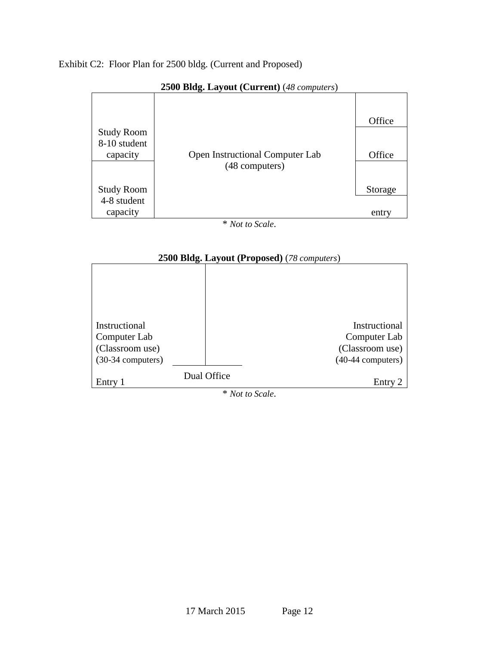## Exhibit C2: Floor Plan for 2500 bldg. (Current and Proposed)



### **2500 Bldg. Layout (Current)** (*48 computers*)

\* *Not to Scale*.



\* *Not to Scale*.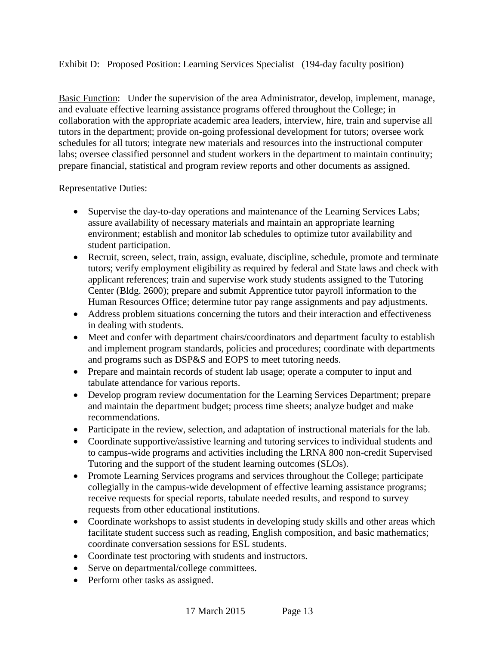## Exhibit D: Proposed Position: Learning Services Specialist (194-day faculty position)

Basic Function: Under the supervision of the area Administrator, develop, implement, manage, and evaluate effective learning assistance programs offered throughout the College; in collaboration with the appropriate academic area leaders, interview, hire, train and supervise all tutors in the department; provide on-going professional development for tutors; oversee work schedules for all tutors; integrate new materials and resources into the instructional computer labs; oversee classified personnel and student workers in the department to maintain continuity; prepare financial, statistical and program review reports and other documents as assigned.

Representative Duties:

- Supervise the day-to-day operations and maintenance of the Learning Services Labs; assure availability of necessary materials and maintain an appropriate learning environment; establish and monitor lab schedules to optimize tutor availability and student participation.
- Recruit, screen, select, train, assign, evaluate, discipline, schedule, promote and terminate tutors; verify employment eligibility as required by federal and State laws and check with applicant references; train and supervise work study students assigned to the Tutoring Center (Bldg. 2600); prepare and submit Apprentice tutor payroll information to the Human Resources Office; determine tutor pay range assignments and pay adjustments.
- Address problem situations concerning the tutors and their interaction and effectiveness in dealing with students.
- Meet and confer with department chairs/coordinators and department faculty to establish and implement program standards, policies and procedures; coordinate with departments and programs such as DSP&S and EOPS to meet tutoring needs.
- Prepare and maintain records of student lab usage; operate a computer to input and tabulate attendance for various reports.
- Develop program review documentation for the Learning Services Department; prepare and maintain the department budget; process time sheets; analyze budget and make recommendations.
- Participate in the review, selection, and adaptation of instructional materials for the lab.
- Coordinate supportive/assistive learning and tutoring services to individual students and to campus-wide programs and activities including the LRNA 800 non-credit Supervised Tutoring and the support of the student learning outcomes (SLOs).
- Promote Learning Services programs and services throughout the College; participate collegially in the campus-wide development of effective learning assistance programs; receive requests for special reports, tabulate needed results, and respond to survey requests from other educational institutions.
- Coordinate workshops to assist students in developing study skills and other areas which facilitate student success such as reading, English composition, and basic mathematics; coordinate conversation sessions for ESL students.
- Coordinate test proctoring with students and instructors.
- Serve on departmental/college committees.
- Perform other tasks as assigned.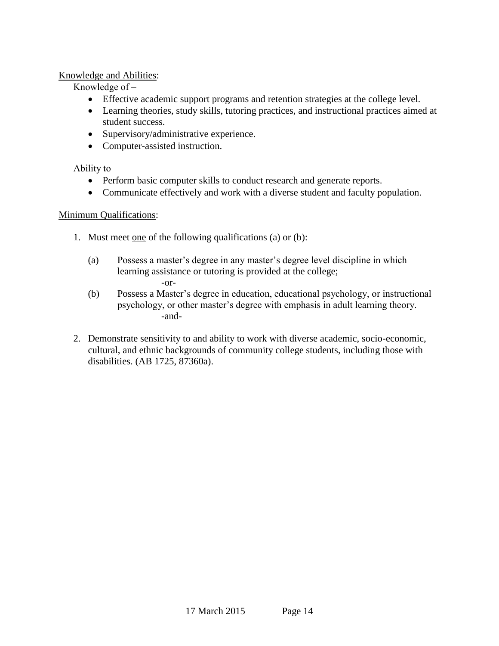## Knowledge and Abilities:

Knowledge of  $-$ 

- Effective academic support programs and retention strategies at the college level.
- Learning theories, study skills, tutoring practices, and instructional practices aimed at student success.
- Supervisory/administrative experience.
- Computer-assisted instruction.

Ability to  $-$ 

- Perform basic computer skills to conduct research and generate reports.
- Communicate effectively and work with a diverse student and faculty population.

## Minimum Qualifications:

- 1. Must meet one of the following qualifications (a) or (b):
	- (a) Possess a master's degree in any master's degree level discipline in which learning assistance or tutoring is provided at the college; -or-
	- (b) Possess a Master's degree in education, educational psychology, or instructional psychology, or other master's degree with emphasis in adult learning theory. -and-
- 2. Demonstrate sensitivity to and ability to work with diverse academic, socio-economic, cultural, and ethnic backgrounds of community college students, including those with disabilities. (AB 1725, 87360a).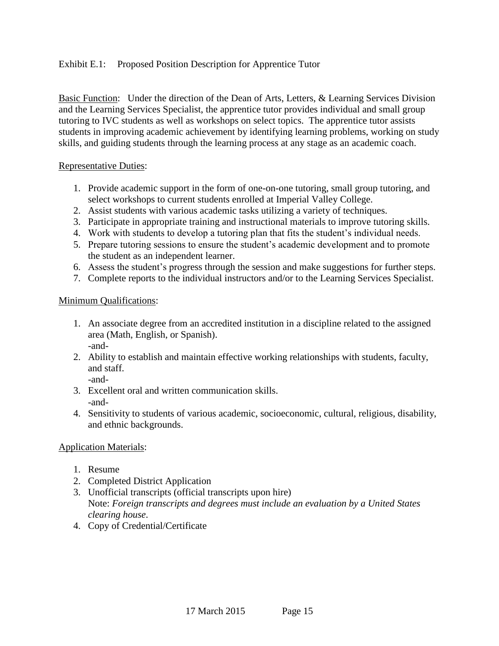## Exhibit E.1: Proposed Position Description for Apprentice Tutor

Basic Function: Under the direction of the Dean of Arts, Letters, & Learning Services Division and the Learning Services Specialist, the apprentice tutor provides individual and small group tutoring to IVC students as well as workshops on select topics. The apprentice tutor assists students in improving academic achievement by identifying learning problems, working on study skills, and guiding students through the learning process at any stage as an academic coach.

### Representative Duties:

- 1. Provide academic support in the form of one-on-one tutoring, small group tutoring, and select workshops to current students enrolled at Imperial Valley College.
- 2. Assist students with various academic tasks utilizing a variety of techniques.
- 3. Participate in appropriate training and instructional materials to improve tutoring skills.
- 4. Work with students to develop a tutoring plan that fits the student's individual needs.
- 5. Prepare tutoring sessions to ensure the student's academic development and to promote the student as an independent learner.
- 6. Assess the student's progress through the session and make suggestions for further steps.
- 7. Complete reports to the individual instructors and/or to the Learning Services Specialist.

## Minimum Qualifications:

- 1. An associate degree from an accredited institution in a discipline related to the assigned area (Math, English, or Spanish). -and-
- 2. Ability to establish and maintain effective working relationships with students, faculty, and staff.
	- -and-
- 3. Excellent oral and written communication skills. -and-
- 4. Sensitivity to students of various academic, socioeconomic, cultural, religious, disability, and ethnic backgrounds.

## Application Materials:

- 1. Resume
- 2. Completed District Application
- 3. Unofficial transcripts (official transcripts upon hire) Note: *Foreign transcripts and degrees must include an evaluation by a United States clearing house*.
- 4. Copy of Credential/Certificate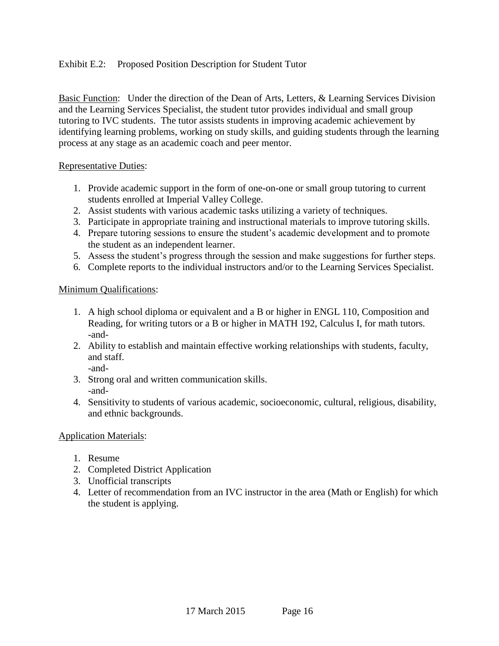## Exhibit E.2: Proposed Position Description for Student Tutor

Basic Function: Under the direction of the Dean of Arts, Letters, & Learning Services Division and the Learning Services Specialist, the student tutor provides individual and small group tutoring to IVC students. The tutor assists students in improving academic achievement by identifying learning problems, working on study skills, and guiding students through the learning process at any stage as an academic coach and peer mentor.

### Representative Duties:

- 1. Provide academic support in the form of one-on-one or small group tutoring to current students enrolled at Imperial Valley College.
- 2. Assist students with various academic tasks utilizing a variety of techniques.
- 3. Participate in appropriate training and instructional materials to improve tutoring skills.
- 4. Prepare tutoring sessions to ensure the student's academic development and to promote the student as an independent learner.
- 5. Assess the student's progress through the session and make suggestions for further steps.
- 6. Complete reports to the individual instructors and/or to the Learning Services Specialist.

## Minimum Qualifications:

- 1. A high school diploma or equivalent and a B or higher in ENGL 110, Composition and Reading, for writing tutors or a B or higher in MATH 192, Calculus I, for math tutors. -and-
- 2. Ability to establish and maintain effective working relationships with students, faculty, and staff.

-and-

- 3. Strong oral and written communication skills. -and-
- 4. Sensitivity to students of various academic, socioeconomic, cultural, religious, disability, and ethnic backgrounds.

## Application Materials:

- 1. Resume
- 2. Completed District Application
- 3. Unofficial transcripts
- 4. Letter of recommendation from an IVC instructor in the area (Math or English) for which the student is applying.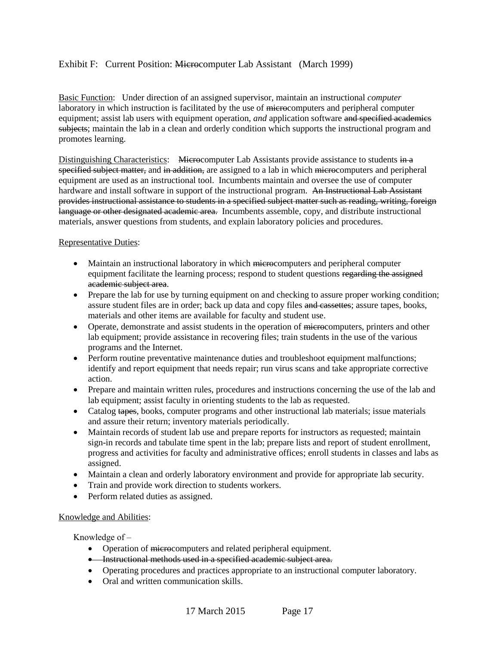### Exhibit F: Current Position: Microcomputer Lab Assistant (March 1999)

Basic Function: Under direction of an assigned supervisor, maintain an instructional *computer* laboratory in which instruction is facilitated by the use of microcomputers and peripheral computer equipment; assist lab users with equipment operation, *and* application software and specified academics subjects; maintain the lab in a clean and orderly condition which supports the instructional program and promotes learning.

Distinguishing Characteristics: Microcomputer Lab Assistants provide assistance to students in a specified subject matter, and in addition, are assigned to a lab in which microcomputers and peripheral equipment are used as an instructional tool. Incumbents maintain and oversee the use of computer hardware and install software in support of the instructional program. An Instructional Lab Assistant provides instructional assistance to students in a specified subject matter such as reading, writing, foreign language or other designated academic area. Incumbents assemble, copy, and distribute instructional materials, answer questions from students, and explain laboratory policies and procedures.

### Representative Duties:

- Maintain an instructional laboratory in which microcomputers and peripheral computer equipment facilitate the learning process; respond to student questions regarding the assigned academic subject area.
- Prepare the lab for use by turning equipment on and checking to assure proper working condition; assure student files are in order; back up data and copy files and cassettes; assure tapes, books, materials and other items are available for faculty and student use.
- Operate, demonstrate and assist students in the operation of microcomputers, printers and other lab equipment; provide assistance in recovering files; train students in the use of the various programs and the Internet.
- Perform routine preventative maintenance duties and troubleshoot equipment malfunctions; identify and report equipment that needs repair; run virus scans and take appropriate corrective action.
- Prepare and maintain written rules, procedures and instructions concerning the use of the lab and lab equipment; assist faculty in orienting students to the lab as requested.
- Catalog tapes, books, computer programs and other instructional lab materials; issue materials and assure their return; inventory materials periodically.
- Maintain records of student lab use and prepare reports for instructors as requested; maintain sign-in records and tabulate time spent in the lab; prepare lists and report of student enrollment, progress and activities for faculty and administrative offices; enroll students in classes and labs as assigned.
- Maintain a clean and orderly laboratory environment and provide for appropriate lab security.
- Train and provide work direction to students workers.
- Perform related duties as assigned.

#### Knowledge and Abilities:

Knowledge of  $-$ 

- Operation of microcomputers and related peripheral equipment.
- **•** Instructional methods used in a specified academic subject area.
- Operating procedures and practices appropriate to an instructional computer laboratory.
- Oral and written communication skills.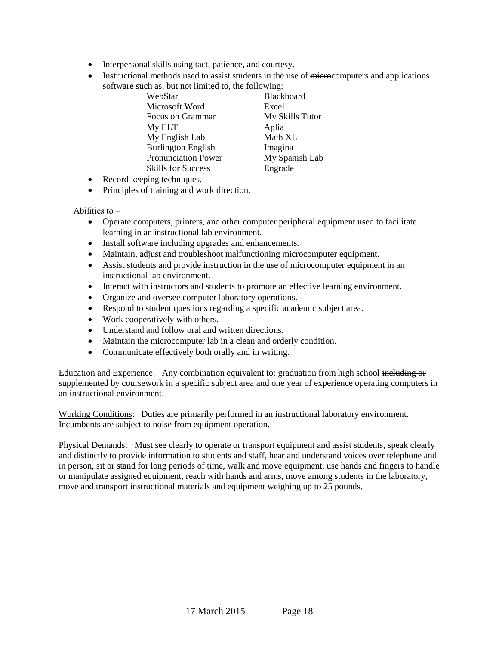- Interpersonal skills using tact, patience, and courtesy.
- Instructional methods used to assist students in the use of microcomputers and applications software such as, but not limited to, the following:

| WebStar                    |
|----------------------------|
| Microsoft Word             |
| Focus on Grammar           |
| My ELT                     |
| My English Lab             |
| <b>Burlington English</b>  |
| <b>Pronunciation Power</b> |
| <b>Skills for Success</b>  |
|                            |

**Blackboard** Excel My Skills Tutor Aplia Math XL Imagina **My Spanish Lab** Engrade

- Record keeping techniques.
- Principles of training and work direction.

Abilities to  $-$ 

- Operate computers, printers, and other computer peripheral equipment used to facilitate learning in an instructional lab environment.
- Install software including upgrades and enhancements.
- Maintain, adjust and troubleshoot malfunctioning microcomputer equipment.
- Assist students and provide instruction in the use of microcomputer equipment in an instructional lab environment.
- Interact with instructors and students to promote an effective learning environment.
- Organize and oversee computer laboratory operations.
- Respond to student questions regarding a specific academic subject area.
- Work cooperatively with others.
- Understand and follow oral and written directions.
- Maintain the microcomputer lab in a clean and orderly condition.
- Communicate effectively both orally and in writing.

Education and Experience: Any combination equivalent to: graduation from high school including or supplemented by coursework in a specific subject area and one year of experience operating computers in an instructional environment.

Working Conditions: Duties are primarily performed in an instructional laboratory environment. Incumbents are subject to noise from equipment operation.

Physical Demands: Must see clearly to operate or transport equipment and assist students, speak clearly and distinctly to provide information to students and staff, hear and understand voices over telephone and in person, sit or stand for long periods of time, walk and move equipment, use hands and fingers to handle or manipulate assigned equipment, reach with hands and arms, move among students in the laboratory, move and transport instructional materials and equipment weighing up to 25 pounds.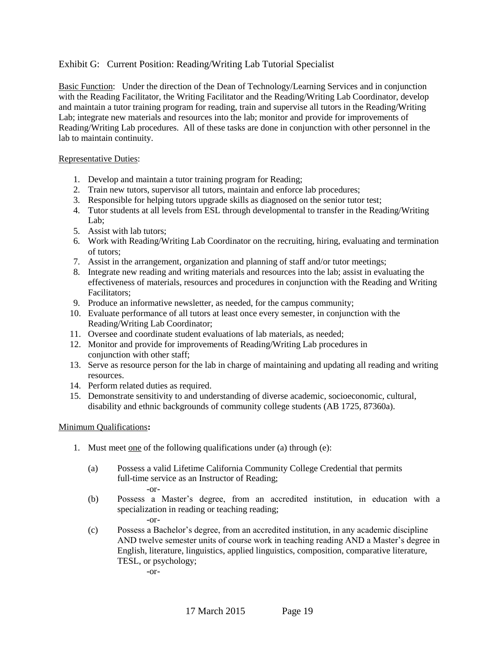### Exhibit G: Current Position: Reading/Writing Lab Tutorial Specialist

Basic Function: Under the direction of the Dean of Technology/Learning Services and in conjunction with the Reading Facilitator, the Writing Facilitator and the Reading/Writing Lab Coordinator, develop and maintain a tutor training program for reading, train and supervise all tutors in the Reading/Writing Lab; integrate new materials and resources into the lab; monitor and provide for improvements of Reading/Writing Lab procedures. All of these tasks are done in conjunction with other personnel in the lab to maintain continuity.

#### Representative Duties:

- 1. Develop and maintain a tutor training program for Reading;
- 2. Train new tutors, supervisor all tutors, maintain and enforce lab procedures;
- 3. Responsible for helping tutors upgrade skills as diagnosed on the senior tutor test;
- 4. Tutor students at all levels from ESL through developmental to transfer in the Reading/Writing Lab;
- 5. Assist with lab tutors;
- 6. Work with Reading/Writing Lab Coordinator on the recruiting, hiring, evaluating and termination of tutors;
- 7. Assist in the arrangement, organization and planning of staff and/or tutor meetings;
- 8. Integrate new reading and writing materials and resources into the lab; assist in evaluating the effectiveness of materials, resources and procedures in conjunction with the Reading and Writing Facilitators;
- 9. Produce an informative newsletter, as needed, for the campus community;
- 10. Evaluate performance of all tutors at least once every semester, in conjunction with the Reading/Writing Lab Coordinator;
- 11. Oversee and coordinate student evaluations of lab materials, as needed;
- 12. Monitor and provide for improvements of Reading/Writing Lab procedures in conjunction with other staff;
- 13. Serve as resource person for the lab in charge of maintaining and updating all reading and writing resources.
- 14. Perform related duties as required.
- 15. Demonstrate sensitivity to and understanding of diverse academic, socioeconomic, cultural, disability and ethnic backgrounds of community college students (AB 1725, 87360a).

#### Minimum Qualifications**:**

- 1. Must meet one of the following qualifications under (a) through (e):
	- (a) Possess a valid Lifetime California Community College Credential that permits full-time service as an Instructor of Reading; -or-
	- (b) Possess a Master's degree, from an accredited institution, in education with a specialization in reading or teaching reading; -or-
	- (c) Possess a Bachelor's degree, from an accredited institution, in any academic discipline AND twelve semester units of course work in teaching reading AND a Master's degree in English, literature, linguistics, applied linguistics, composition, comparative literature, TESL, or psychology;

-or-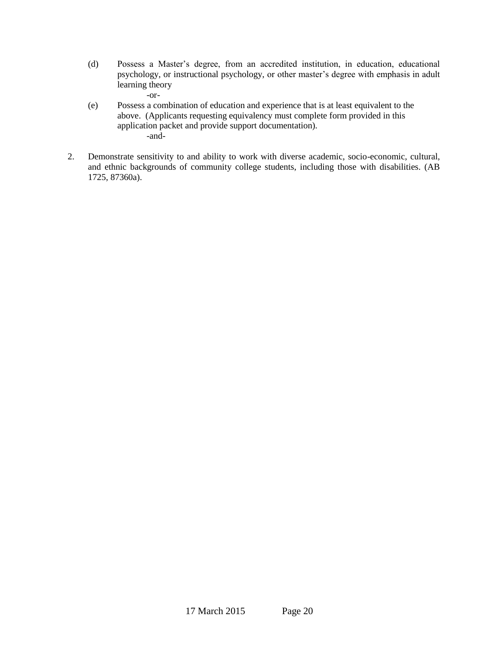(d) Possess a Master's degree, from an accredited institution, in education, educational psychology, or instructional psychology, or other master's degree with emphasis in adult learning theory

-or-

- (e) Possess a combination of education and experience that is at least equivalent to the above. (Applicants requesting equivalency must complete form provided in this application packet and provide support documentation). -and-
- 2. Demonstrate sensitivity to and ability to work with diverse academic, socio-economic, cultural, and ethnic backgrounds of community college students, including those with disabilities. (AB 1725, 87360a).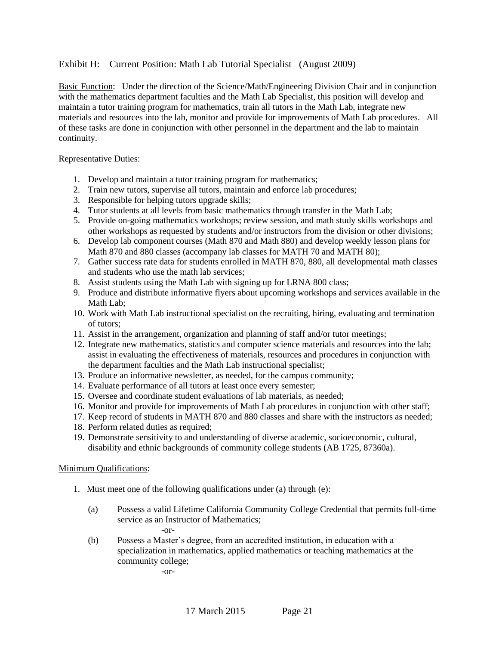### Exhibit H: Current Position: Math Lab Tutorial Specialist (August 2009)

Basic Function: Under the direction of the Science/Math/Engineering Division Chair and in conjunction with the mathematics department faculties and the Math Lab Specialist, this position will develop and maintain a tutor training program for mathematics, train all tutors in the Math Lab, integrate new materials and resources into the lab, monitor and provide for improvements of Math Lab procedures. All of these tasks are done in conjunction with other personnel in the department and the lab to maintain continuity.

#### Representative Duties:

- 1. Develop and maintain a tutor training program for mathematics;
- 2. Train new tutors, supervise all tutors, maintain and enforce lab procedures;
- 3. Responsible for helping tutors upgrade skills;
- 4. Tutor students at all levels from basic mathematics through transfer in the Math Lab;
- 5. Provide on-going mathematics workshops; review session, and math study skills workshops and other workshops as requested by students and/or instructors from the division or other divisions;
- 6. Develop lab component courses (Math 870 and Math 880) and develop weekly lesson plans for Math 870 and 880 classes (accompany lab classes for MATH 70 and MATH 80);
- 7. Gather success rate data for students enrolled in MATH 870, 880, all developmental math classes and students who use the math lab services;
- 8. Assist students using the Math Lab with signing up for LRNA 800 class;
- 9. Produce and distribute informative flyers about upcoming workshops and services available in the Math Lab;
- 10. Work with Math Lab instructional specialist on the recruiting, hiring, evaluating and termination of tutors;
- 11. Assist in the arrangement, organization and planning of staff and/or tutor meetings;
- 12. Integrate new mathematics, statistics and computer science materials and resources into the lab; assist in evaluating the effectiveness of materials, resources and procedures in conjunction with the department faculties and the Math Lab instructional specialist;
- 13. Produce an informative newsletter, as needed, for the campus community;
- 14. Evaluate performance of all tutors at least once every semester;
- 15. Oversee and coordinate student evaluations of lab materials, as needed;
- 16. Monitor and provide for improvements of Math Lab procedures in conjunction with other staff;
- 17. Keep record of students in MATH 870 and 880 classes and share with the instructors as needed;
- 18. Perform related duties as required;
- 19. Demonstrate sensitivity to and understanding of diverse academic, socioeconomic, cultural, disability and ethnic backgrounds of community college students (AB 1725, 87360a).

#### Minimum Qualifications:

- 1. Must meet one of the following qualifications under (a) through (e):
	- (a) Possess a valid Lifetime California Community College Credential that permits full-time service as an Instructor of Mathematics; -or-
	- (b) Possess a Master's degree, from an accredited institution, in education with a specialization in mathematics, applied mathematics or teaching mathematics at the community college;

-or-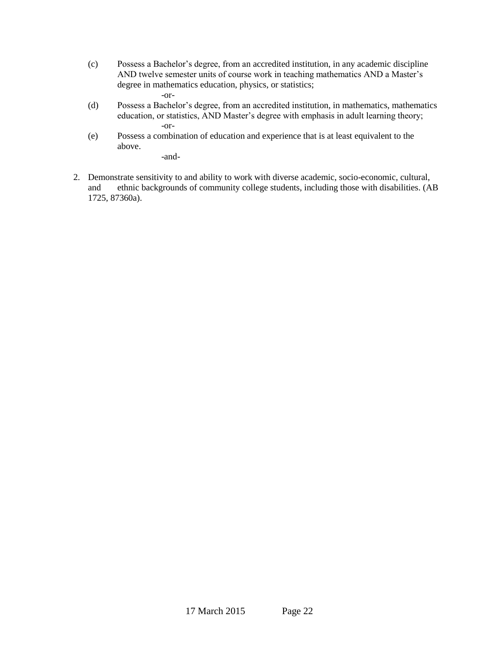- (c) Possess a Bachelor's degree, from an accredited institution, in any academic discipline AND twelve semester units of course work in teaching mathematics AND a Master's degree in mathematics education, physics, or statistics; -or-
- (d) Possess a Bachelor's degree, from an accredited institution, in mathematics, mathematics education, or statistics, AND Master's degree with emphasis in adult learning theory; -or-
- (e) Possess a combination of education and experience that is at least equivalent to the above.

-and-

2. Demonstrate sensitivity to and ability to work with diverse academic, socio-economic, cultural, and ethnic backgrounds of community college students, including those with disabilities. (AB 1725, 87360a).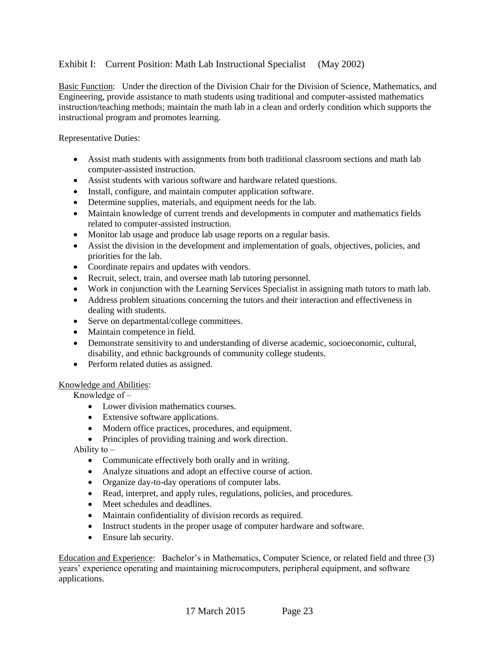### Exhibit I: Current Position: Math Lab Instructional Specialist (May 2002)

Basic Function: Under the direction of the Division Chair for the Division of Science, Mathematics, and Engineering, provide assistance to math students using traditional and computer-assisted mathematics instruction/teaching methods; maintain the math lab in a clean and orderly condition which supports the instructional program and promotes learning.

Representative Duties:

- Assist math students with assignments from both traditional classroom sections and math lab computer-assisted instruction.
- Assist students with various software and hardware related questions.
- Install, configure, and maintain computer application software.
- Determine supplies, materials, and equipment needs for the lab.
- Maintain knowledge of current trends and developments in computer and mathematics fields related to computer-assisted instruction.
- Monitor lab usage and produce lab usage reports on a regular basis.
- Assist the division in the development and implementation of goals, objectives, policies, and priorities for the lab.
- Coordinate repairs and updates with vendors.
- Recruit, select, train, and oversee math lab tutoring personnel.
- Work in conjunction with the Learning Services Specialist in assigning math tutors to math lab.
- Address problem situations concerning the tutors and their interaction and effectiveness in dealing with students.
- Serve on departmental/college committees.
- Maintain competence in field.
- Demonstrate sensitivity to and understanding of diverse academic, socioeconomic, cultural, disability, and ethnic backgrounds of community college students.
- Perform related duties as assigned.

#### Knowledge and Abilities:

Knowledge of  $-$ 

- Lower division mathematics courses.
- Extensive software applications.
- Modern office practices, procedures, and equipment.
- Principles of providing training and work direction.

Ability to  $-$ 

- Communicate effectively both orally and in writing.
- Analyze situations and adopt an effective course of action.
- Organize day-to-day operations of computer labs.
- Read, interpret, and apply rules, regulations, policies, and procedures.
- Meet schedules and deadlines.
- Maintain confidentiality of division records as required.
- Instruct students in the proper usage of computer hardware and software.
- Ensure lab security.

Education and Experience: Bachelor's in Mathematics, Computer Science, or related field and three (3) years' experience operating and maintaining microcomputers, peripheral equipment, and software applications.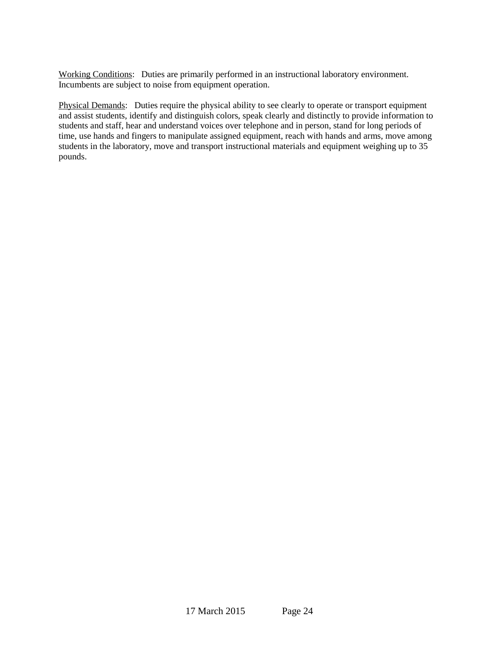Working Conditions: Duties are primarily performed in an instructional laboratory environment. Incumbents are subject to noise from equipment operation.

Physical Demands: Duties require the physical ability to see clearly to operate or transport equipment and assist students, identify and distinguish colors, speak clearly and distinctly to provide information to students and staff, hear and understand voices over telephone and in person, stand for long periods of time, use hands and fingers to manipulate assigned equipment, reach with hands and arms, move among students in the laboratory, move and transport instructional materials and equipment weighing up to 35 pounds.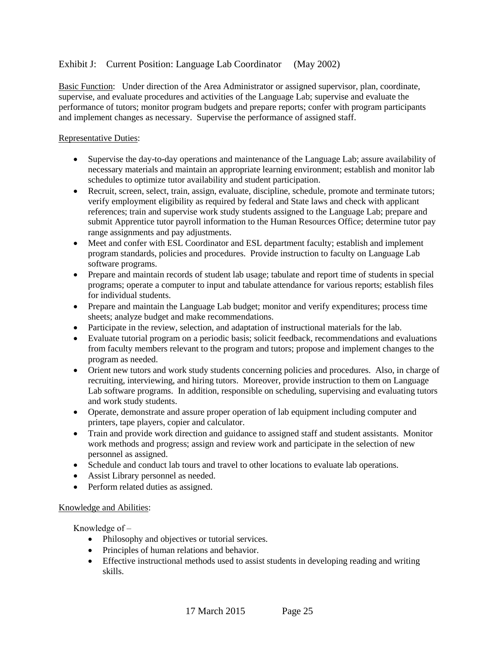### Exhibit J: Current Position: Language Lab Coordinator (May 2002)

Basic Function: Under direction of the Area Administrator or assigned supervisor, plan, coordinate, supervise, and evaluate procedures and activities of the Language Lab; supervise and evaluate the performance of tutors; monitor program budgets and prepare reports; confer with program participants and implement changes as necessary. Supervise the performance of assigned staff.

#### Representative Duties:

- Supervise the day-to-day operations and maintenance of the Language Lab; assure availability of necessary materials and maintain an appropriate learning environment; establish and monitor lab schedules to optimize tutor availability and student participation.
- Recruit, screen, select, train, assign, evaluate, discipline, schedule, promote and terminate tutors; verify employment eligibility as required by federal and State laws and check with applicant references; train and supervise work study students assigned to the Language Lab; prepare and submit Apprentice tutor payroll information to the Human Resources Office; determine tutor pay range assignments and pay adjustments.
- Meet and confer with ESL Coordinator and ESL department faculty; establish and implement program standards, policies and procedures. Provide instruction to faculty on Language Lab software programs.
- Prepare and maintain records of student lab usage; tabulate and report time of students in special programs; operate a computer to input and tabulate attendance for various reports; establish files for individual students.
- Prepare and maintain the Language Lab budget; monitor and verify expenditures; process time sheets; analyze budget and make recommendations.
- Participate in the review, selection, and adaptation of instructional materials for the lab.
- Evaluate tutorial program on a periodic basis; solicit feedback, recommendations and evaluations from faculty members relevant to the program and tutors; propose and implement changes to the program as needed.
- Orient new tutors and work study students concerning policies and procedures. Also, in charge of recruiting, interviewing, and hiring tutors. Moreover, provide instruction to them on Language Lab software programs. In addition, responsible on scheduling, supervising and evaluating tutors and work study students.
- Operate, demonstrate and assure proper operation of lab equipment including computer and printers, tape players, copier and calculator.
- Train and provide work direction and guidance to assigned staff and student assistants. Monitor work methods and progress; assign and review work and participate in the selection of new personnel as assigned.
- Schedule and conduct lab tours and travel to other locations to evaluate lab operations.
- Assist Library personnel as needed.
- Perform related duties as assigned.

#### Knowledge and Abilities:

Knowledge of  $-$ 

- Philosophy and objectives or tutorial services.
- Principles of human relations and behavior.
- Effective instructional methods used to assist students in developing reading and writing skills.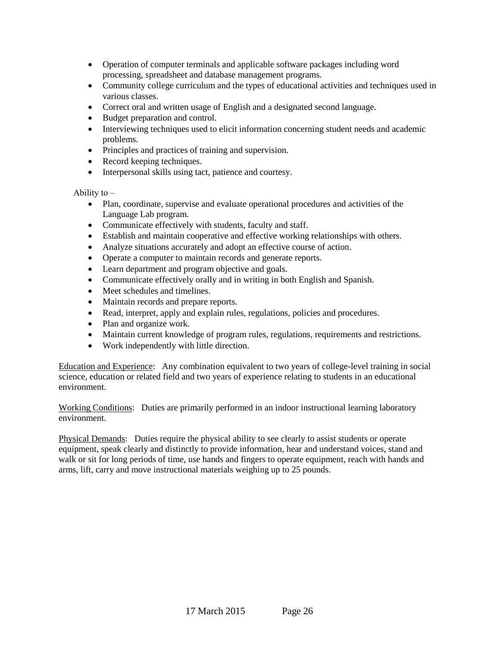- Operation of computer terminals and applicable software packages including word processing, spreadsheet and database management programs.
- Community college curriculum and the types of educational activities and techniques used in various classes.
- Correct oral and written usage of English and a designated second language.
- Budget preparation and control.
- Interviewing techniques used to elicit information concerning student needs and academic problems.
- Principles and practices of training and supervision.
- Record keeping techniques.
- Interpersonal skills using tact, patience and courtesy.

Ability to  $-$ 

- Plan, coordinate, supervise and evaluate operational procedures and activities of the Language Lab program.
- Communicate effectively with students, faculty and staff.
- Establish and maintain cooperative and effective working relationships with others.
- Analyze situations accurately and adopt an effective course of action.
- Operate a computer to maintain records and generate reports.
- Learn department and program objective and goals.
- Communicate effectively orally and in writing in both English and Spanish.
- Meet schedules and timelines.
- Maintain records and prepare reports.
- Read, interpret, apply and explain rules, regulations, policies and procedures.
- Plan and organize work.
- Maintain current knowledge of program rules, regulations, requirements and restrictions.
- Work independently with little direction.

Education and Experience: Any combination equivalent to two years of college-level training in social science, education or related field and two years of experience relating to students in an educational environment.

Working Conditions: Duties are primarily performed in an indoor instructional learning laboratory environment.

Physical Demands: Duties require the physical ability to see clearly to assist students or operate equipment, speak clearly and distinctly to provide information, hear and understand voices, stand and walk or sit for long periods of time, use hands and fingers to operate equipment, reach with hands and arms, lift, carry and move instructional materials weighing up to 25 pounds.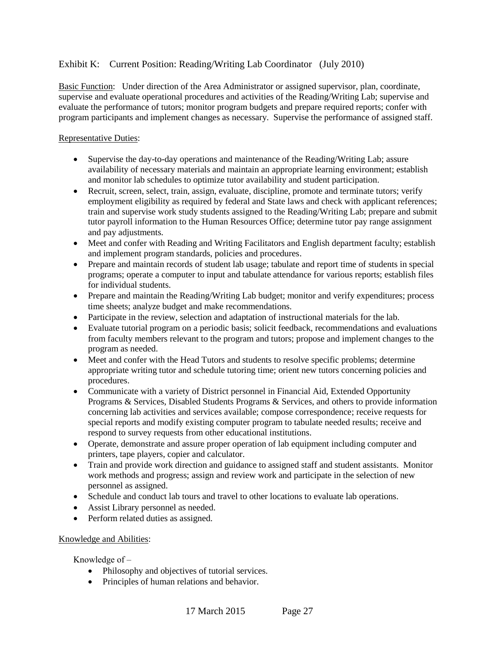### Exhibit K: Current Position: Reading/Writing Lab Coordinator (July 2010)

Basic Function: Under direction of the Area Administrator or assigned supervisor, plan, coordinate, supervise and evaluate operational procedures and activities of the Reading/Writing Lab; supervise and evaluate the performance of tutors; monitor program budgets and prepare required reports; confer with program participants and implement changes as necessary. Supervise the performance of assigned staff.

#### Representative Duties:

- Supervise the day-to-day operations and maintenance of the Reading/Writing Lab; assure availability of necessary materials and maintain an appropriate learning environment; establish and monitor lab schedules to optimize tutor availability and student participation.
- Recruit, screen, select, train, assign, evaluate, discipline, promote and terminate tutors; verify employment eligibility as required by federal and State laws and check with applicant references; train and supervise work study students assigned to the Reading/Writing Lab; prepare and submit tutor payroll information to the Human Resources Office; determine tutor pay range assignment and pay adjustments.
- Meet and confer with Reading and Writing Facilitators and English department faculty; establish and implement program standards, policies and procedures.
- Prepare and maintain records of student lab usage; tabulate and report time of students in special programs; operate a computer to input and tabulate attendance for various reports; establish files for individual students.
- Prepare and maintain the Reading/Writing Lab budget; monitor and verify expenditures; process time sheets; analyze budget and make recommendations.
- Participate in the review, selection and adaptation of instructional materials for the lab.
- Evaluate tutorial program on a periodic basis; solicit feedback, recommendations and evaluations from faculty members relevant to the program and tutors; propose and implement changes to the program as needed.
- Meet and confer with the Head Tutors and students to resolve specific problems; determine appropriate writing tutor and schedule tutoring time; orient new tutors concerning policies and procedures.
- Communicate with a variety of District personnel in Financial Aid, Extended Opportunity Programs & Services, Disabled Students Programs & Services, and others to provide information concerning lab activities and services available; compose correspondence; receive requests for special reports and modify existing computer program to tabulate needed results; receive and respond to survey requests from other educational institutions.
- Operate, demonstrate and assure proper operation of lab equipment including computer and printers, tape players, copier and calculator.
- Train and provide work direction and guidance to assigned staff and student assistants. Monitor work methods and progress; assign and review work and participate in the selection of new personnel as assigned.
- Schedule and conduct lab tours and travel to other locations to evaluate lab operations.
- Assist Library personnel as needed.
- Perform related duties as assigned.

#### Knowledge and Abilities:

### Knowledge of  $-$

- Philosophy and objectives of tutorial services.
- Principles of human relations and behavior.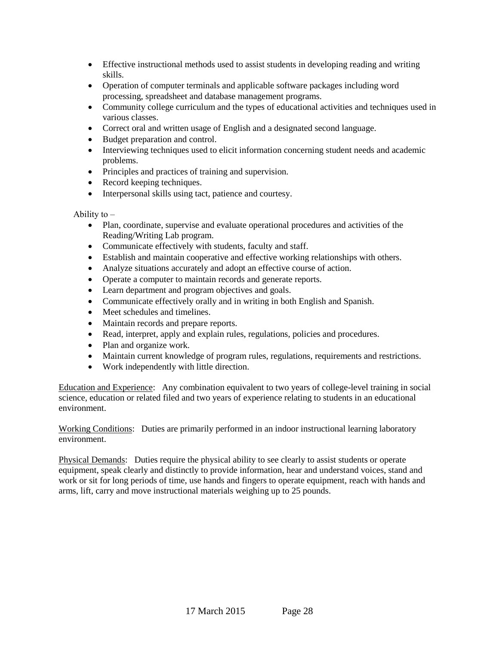- Effective instructional methods used to assist students in developing reading and writing skills.
- Operation of computer terminals and applicable software packages including word processing, spreadsheet and database management programs.
- Community college curriculum and the types of educational activities and techniques used in various classes.
- Correct oral and written usage of English and a designated second language.
- Budget preparation and control.
- Interviewing techniques used to elicit information concerning student needs and academic problems.
- Principles and practices of training and supervision.
- Record keeping techniques.
- Interpersonal skills using tact, patience and courtesy.

#### Ability to  $-$

- Plan, coordinate, supervise and evaluate operational procedures and activities of the Reading/Writing Lab program.
- Communicate effectively with students, faculty and staff.
- Establish and maintain cooperative and effective working relationships with others.
- Analyze situations accurately and adopt an effective course of action.
- Operate a computer to maintain records and generate reports.
- Learn department and program objectives and goals.
- Communicate effectively orally and in writing in both English and Spanish.
- Meet schedules and timelines.
- Maintain records and prepare reports.
- Read, interpret, apply and explain rules, regulations, policies and procedures.
- Plan and organize work.
- Maintain current knowledge of program rules, regulations, requirements and restrictions.
- Work independently with little direction.

Education and Experience: Any combination equivalent to two years of college-level training in social science, education or related filed and two years of experience relating to students in an educational environment.

Working Conditions: Duties are primarily performed in an indoor instructional learning laboratory environment.

Physical Demands: Duties require the physical ability to see clearly to assist students or operate equipment, speak clearly and distinctly to provide information, hear and understand voices, stand and work or sit for long periods of time, use hands and fingers to operate equipment, reach with hands and arms, lift, carry and move instructional materials weighing up to 25 pounds.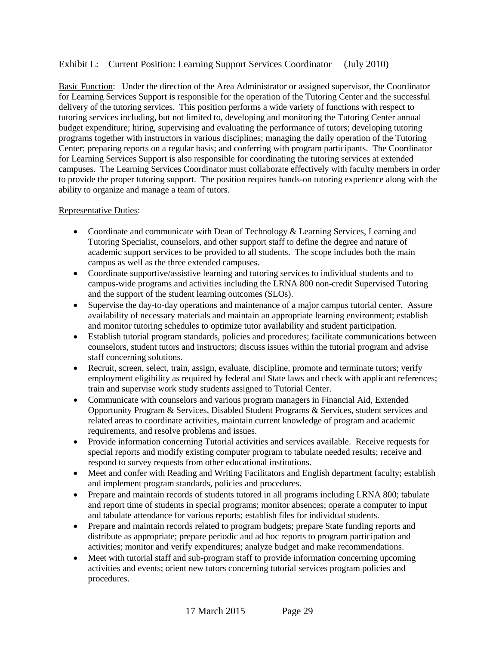### Exhibit L: Current Position: Learning Support Services Coordinator (July 2010)

Basic Function: Under the direction of the Area Administrator or assigned supervisor, the Coordinator for Learning Services Support is responsible for the operation of the Tutoring Center and the successful delivery of the tutoring services. This position performs a wide variety of functions with respect to tutoring services including, but not limited to, developing and monitoring the Tutoring Center annual budget expenditure; hiring, supervising and evaluating the performance of tutors; developing tutoring programs together with instructors in various disciplines; managing the daily operation of the Tutoring Center; preparing reports on a regular basis; and conferring with program participants. The Coordinator for Learning Services Support is also responsible for coordinating the tutoring services at extended campuses. The Learning Services Coordinator must collaborate effectively with faculty members in order to provide the proper tutoring support. The position requires hands-on tutoring experience along with the ability to organize and manage a team of tutors.

#### Representative Duties:

- Coordinate and communicate with Dean of Technology & Learning Services, Learning and Tutoring Specialist, counselors, and other support staff to define the degree and nature of academic support services to be provided to all students. The scope includes both the main campus as well as the three extended campuses.
- Coordinate supportive/assistive learning and tutoring services to individual students and to campus-wide programs and activities including the LRNA 800 non-credit Supervised Tutoring and the support of the student learning outcomes (SLOs).
- Supervise the day-to-day operations and maintenance of a major campus tutorial center. Assure availability of necessary materials and maintain an appropriate learning environment; establish and monitor tutoring schedules to optimize tutor availability and student participation.
- Establish tutorial program standards, policies and procedures; facilitate communications between counselors, student tutors and instructors; discuss issues within the tutorial program and advise staff concerning solutions.
- Recruit, screen, select, train, assign, evaluate, discipline, promote and terminate tutors; verify employment eligibility as required by federal and State laws and check with applicant references; train and supervise work study students assigned to Tutorial Center.
- Communicate with counselors and various program managers in Financial Aid, Extended Opportunity Program & Services, Disabled Student Programs & Services, student services and related areas to coordinate activities, maintain current knowledge of program and academic requirements, and resolve problems and issues.
- Provide information concerning Tutorial activities and services available. Receive requests for special reports and modify existing computer program to tabulate needed results; receive and respond to survey requests from other educational institutions.
- Meet and confer with Reading and Writing Facilitators and English department faculty; establish and implement program standards, policies and procedures.
- Prepare and maintain records of students tutored in all programs including LRNA 800; tabulate and report time of students in special programs; monitor absences; operate a computer to input and tabulate attendance for various reports; establish files for individual students.
- Prepare and maintain records related to program budgets; prepare State funding reports and distribute as appropriate; prepare periodic and ad hoc reports to program participation and activities; monitor and verify expenditures; analyze budget and make recommendations.
- Meet with tutorial staff and sub-program staff to provide information concerning upcoming activities and events; orient new tutors concerning tutorial services program policies and procedures.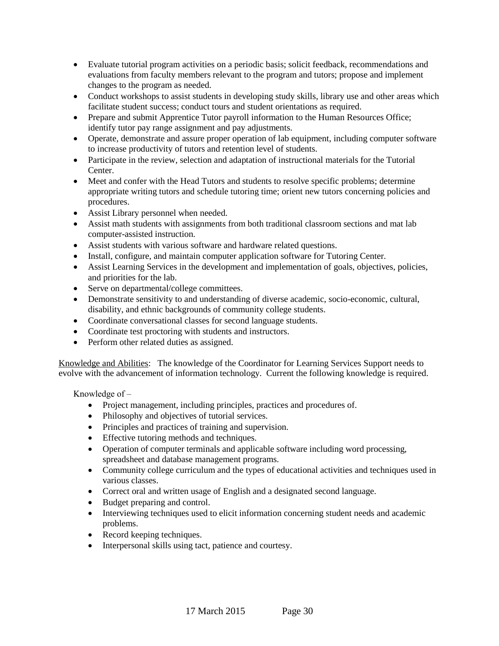- Evaluate tutorial program activities on a periodic basis; solicit feedback, recommendations and evaluations from faculty members relevant to the program and tutors; propose and implement changes to the program as needed.
- Conduct workshops to assist students in developing study skills, library use and other areas which facilitate student success; conduct tours and student orientations as required.
- Prepare and submit Apprentice Tutor payroll information to the Human Resources Office; identify tutor pay range assignment and pay adjustments.
- Operate, demonstrate and assure proper operation of lab equipment, including computer software to increase productivity of tutors and retention level of students.
- Participate in the review, selection and adaptation of instructional materials for the Tutorial Center.
- Meet and confer with the Head Tutors and students to resolve specific problems; determine appropriate writing tutors and schedule tutoring time; orient new tutors concerning policies and procedures.
- Assist Library personnel when needed.
- Assist math students with assignments from both traditional classroom sections and mat lab computer-assisted instruction.
- Assist students with various software and hardware related questions.
- Install, configure, and maintain computer application software for Tutoring Center.
- Assist Learning Services in the development and implementation of goals, objectives, policies, and priorities for the lab.
- Serve on departmental/college committees.
- Demonstrate sensitivity to and understanding of diverse academic, socio-economic, cultural, disability, and ethnic backgrounds of community college students.
- Coordinate conversational classes for second language students.
- Coordinate test proctoring with students and instructors.
- Perform other related duties as assigned.

Knowledge and Abilities: The knowledge of the Coordinator for Learning Services Support needs to evolve with the advancement of information technology. Current the following knowledge is required.

Knowledge of  $-$ 

- Project management, including principles, practices and procedures of.
- Philosophy and objectives of tutorial services.
- Principles and practices of training and supervision.
- Effective tutoring methods and techniques.
- Operation of computer terminals and applicable software including word processing, spreadsheet and database management programs.
- Community college curriculum and the types of educational activities and techniques used in various classes.
- Correct oral and written usage of English and a designated second language.
- Budget preparing and control.
- Interviewing techniques used to elicit information concerning student needs and academic problems.
- Record keeping techniques.
- Interpersonal skills using tact, patience and courtesy.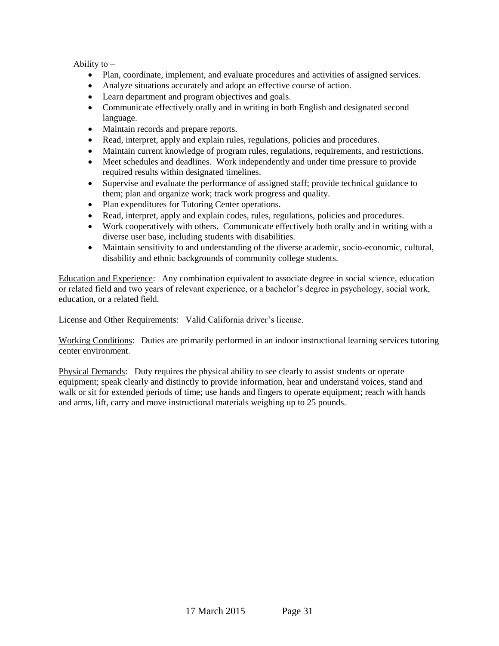Ability to  $-$ 

- Plan, coordinate, implement, and evaluate procedures and activities of assigned services.
- Analyze situations accurately and adopt an effective course of action.
- Learn department and program objectives and goals.
- Communicate effectively orally and in writing in both English and designated second language.
- Maintain records and prepare reports.
- Read, interpret, apply and explain rules, regulations, policies and procedures.
- Maintain current knowledge of program rules, regulations, requirements, and restrictions.
- Meet schedules and deadlines. Work independently and under time pressure to provide required results within designated timelines.
- Supervise and evaluate the performance of assigned staff; provide technical guidance to them; plan and organize work; track work progress and quality.
- Plan expenditures for Tutoring Center operations.
- Read, interpret, apply and explain codes, rules, regulations, policies and procedures.
- Work cooperatively with others. Communicate effectively both orally and in writing with a diverse user base, including students with disabilities.
- Maintain sensitivity to and understanding of the diverse academic, socio-economic, cultural, disability and ethnic backgrounds of community college students.

Education and Experience: Any combination equivalent to associate degree in social science, education or related field and two years of relevant experience, or a bachelor's degree in psychology, social work, education, or a related field.

License and Other Requirements: Valid California driver's license.

Working Conditions: Duties are primarily performed in an indoor instructional learning services tutoring center environment.

Physical Demands: Duty requires the physical ability to see clearly to assist students or operate equipment; speak clearly and distinctly to provide information, hear and understand voices, stand and walk or sit for extended periods of time; use hands and fingers to operate equipment; reach with hands and arms, lift, carry and move instructional materials weighing up to 25 pounds.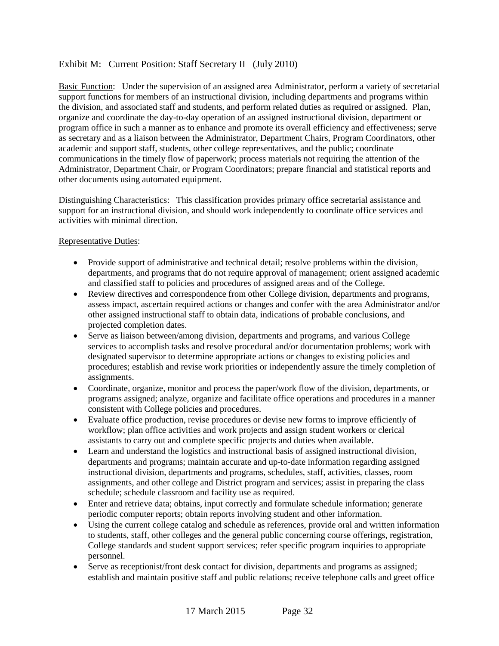## Exhibit M: Current Position: Staff Secretary II (July 2010)

Basic Function: Under the supervision of an assigned area Administrator, perform a variety of secretarial support functions for members of an instructional division, including departments and programs within the division, and associated staff and students, and perform related duties as required or assigned. Plan, organize and coordinate the day-to-day operation of an assigned instructional division, department or program office in such a manner as to enhance and promote its overall efficiency and effectiveness; serve as secretary and as a liaison between the Administrator, Department Chairs, Program Coordinators, other academic and support staff, students, other college representatives, and the public; coordinate communications in the timely flow of paperwork; process materials not requiring the attention of the Administrator, Department Chair, or Program Coordinators; prepare financial and statistical reports and other documents using automated equipment.

Distinguishing Characteristics: This classification provides primary office secretarial assistance and support for an instructional division, and should work independently to coordinate office services and activities with minimal direction.

#### Representative Duties:

- Provide support of administrative and technical detail; resolve problems within the division, departments, and programs that do not require approval of management; orient assigned academic and classified staff to policies and procedures of assigned areas and of the College.
- Review directives and correspondence from other College division, departments and programs, assess impact, ascertain required actions or changes and confer with the area Administrator and/or other assigned instructional staff to obtain data, indications of probable conclusions, and projected completion dates.
- Serve as liaison between/among division, departments and programs, and various College services to accomplish tasks and resolve procedural and/or documentation problems; work with designated supervisor to determine appropriate actions or changes to existing policies and procedures; establish and revise work priorities or independently assure the timely completion of assignments.
- Coordinate, organize, monitor and process the paper/work flow of the division, departments, or programs assigned; analyze, organize and facilitate office operations and procedures in a manner consistent with College policies and procedures.
- Evaluate office production, revise procedures or devise new forms to improve efficiently of workflow; plan office activities and work projects and assign student workers or clerical assistants to carry out and complete specific projects and duties when available.
- Learn and understand the logistics and instructional basis of assigned instructional division, departments and programs; maintain accurate and up-to-date information regarding assigned instructional division, departments and programs, schedules, staff, activities, classes, room assignments, and other college and District program and services; assist in preparing the class schedule; schedule classroom and facility use as required.
- Enter and retrieve data; obtains, input correctly and formulate schedule information; generate periodic computer reports; obtain reports involving student and other information.
- Using the current college catalog and schedule as references, provide oral and written information to students, staff, other colleges and the general public concerning course offerings, registration, College standards and student support services; refer specific program inquiries to appropriate personnel.
- Serve as receptionist/front desk contact for division, departments and programs as assigned; establish and maintain positive staff and public relations; receive telephone calls and greet office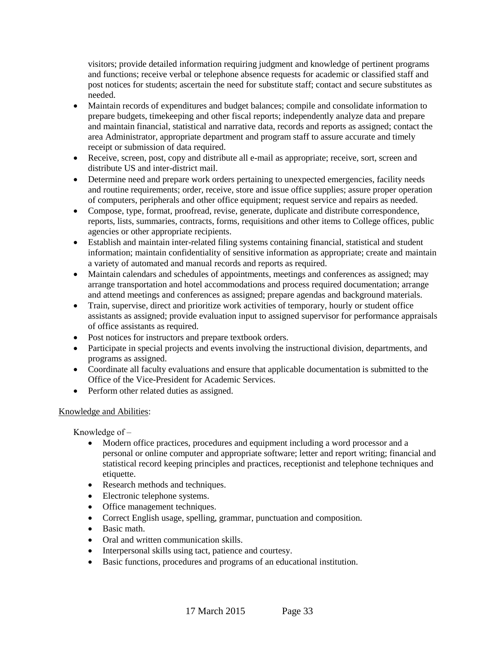visitors; provide detailed information requiring judgment and knowledge of pertinent programs and functions; receive verbal or telephone absence requests for academic or classified staff and post notices for students; ascertain the need for substitute staff; contact and secure substitutes as needed.

- Maintain records of expenditures and budget balances; compile and consolidate information to prepare budgets, timekeeping and other fiscal reports; independently analyze data and prepare and maintain financial, statistical and narrative data, records and reports as assigned; contact the area Administrator, appropriate department and program staff to assure accurate and timely receipt or submission of data required.
- Receive, screen, post, copy and distribute all e-mail as appropriate; receive, sort, screen and distribute US and inter-district mail.
- Determine need and prepare work orders pertaining to unexpected emergencies, facility needs and routine requirements; order, receive, store and issue office supplies; assure proper operation of computers, peripherals and other office equipment; request service and repairs as needed.
- Compose, type, format, proofread, revise, generate, duplicate and distribute correspondence, reports, lists, summaries, contracts, forms, requisitions and other items to College offices, public agencies or other appropriate recipients.
- Establish and maintain inter-related filing systems containing financial, statistical and student information; maintain confidentiality of sensitive information as appropriate; create and maintain a variety of automated and manual records and reports as required.
- Maintain calendars and schedules of appointments, meetings and conferences as assigned; may arrange transportation and hotel accommodations and process required documentation; arrange and attend meetings and conferences as assigned; prepare agendas and background materials.
- Train, supervise, direct and prioritize work activities of temporary, hourly or student office assistants as assigned; provide evaluation input to assigned supervisor for performance appraisals of office assistants as required.
- Post notices for instructors and prepare textbook orders.
- Participate in special projects and events involving the instructional division, departments, and programs as assigned.
- Coordinate all faculty evaluations and ensure that applicable documentation is submitted to the Office of the Vice-President for Academic Services.
- Perform other related duties as assigned.

### Knowledge and Abilities:

Knowledge of  $-$ 

- Modern office practices, procedures and equipment including a word processor and a personal or online computer and appropriate software; letter and report writing; financial and statistical record keeping principles and practices, receptionist and telephone techniques and etiquette.
- Research methods and techniques.
- Electronic telephone systems.
- Office management techniques.
- Correct English usage, spelling, grammar, punctuation and composition.
- Basic math
- Oral and written communication skills.
- Interpersonal skills using tact, patience and courtesy.
- Basic functions, procedures and programs of an educational institution.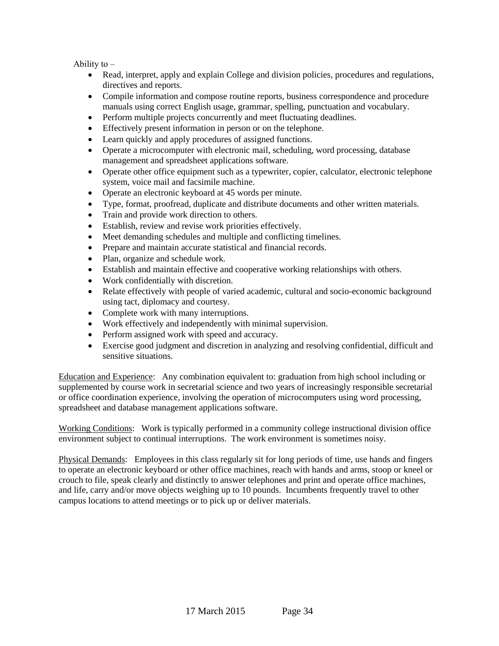Ability to  $-$ 

- Read, interpret, apply and explain College and division policies, procedures and regulations, directives and reports.
- Compile information and compose routine reports, business correspondence and procedure manuals using correct English usage, grammar, spelling, punctuation and vocabulary.
- Perform multiple projects concurrently and meet fluctuating deadlines.
- Effectively present information in person or on the telephone.
- Learn quickly and apply procedures of assigned functions.
- Operate a microcomputer with electronic mail, scheduling, word processing, database management and spreadsheet applications software.
- Operate other office equipment such as a typewriter, copier, calculator, electronic telephone system, voice mail and facsimile machine.
- Operate an electronic keyboard at 45 words per minute.
- Type, format, proofread, duplicate and distribute documents and other written materials.
- Train and provide work direction to others.
- Establish, review and revise work priorities effectively.
- Meet demanding schedules and multiple and conflicting timelines.
- Prepare and maintain accurate statistical and financial records.
- Plan, organize and schedule work.
- Establish and maintain effective and cooperative working relationships with others.
- Work confidentially with discretion.
- Relate effectively with people of varied academic, cultural and socio-economic background using tact, diplomacy and courtesy.
- Complete work with many interruptions.
- Work effectively and independently with minimal supervision.
- Perform assigned work with speed and accuracy.
- Exercise good judgment and discretion in analyzing and resolving confidential, difficult and sensitive situations.

Education and Experience: Any combination equivalent to: graduation from high school including or supplemented by course work in secretarial science and two years of increasingly responsible secretarial or office coordination experience, involving the operation of microcomputers using word processing, spreadsheet and database management applications software.

Working Conditions: Work is typically performed in a community college instructional division office environment subject to continual interruptions. The work environment is sometimes noisy.

Physical Demands: Employees in this class regularly sit for long periods of time, use hands and fingers to operate an electronic keyboard or other office machines, reach with hands and arms, stoop or kneel or crouch to file, speak clearly and distinctly to answer telephones and print and operate office machines, and life, carry and/or move objects weighing up to 10 pounds. Incumbents frequently travel to other campus locations to attend meetings or to pick up or deliver materials.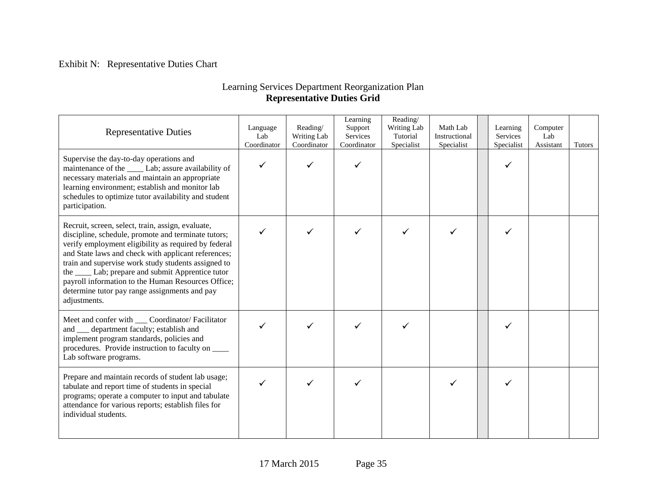# Exhibit N: Representative Duties Chart

# Learning Services Department Reorganization Plan **Representative Duties Grid**

| <b>Representative Duties</b>                                                                                                                                                                                                                                                                                                                                                                                                                                 | Language<br>Lab<br>Coordinator | Reading/<br>Writing Lab<br>Coordinator | Learning<br>Support<br>Services<br>Coordinator | Reading/<br>Writing Lab<br>Tutorial<br>Specialist | Math Lab<br>Instructional<br>Specialist | Learning<br>Services<br>Specialist | Computer<br>Lab<br>Assistant | <b>Tutors</b> |
|--------------------------------------------------------------------------------------------------------------------------------------------------------------------------------------------------------------------------------------------------------------------------------------------------------------------------------------------------------------------------------------------------------------------------------------------------------------|--------------------------------|----------------------------------------|------------------------------------------------|---------------------------------------------------|-----------------------------------------|------------------------------------|------------------------------|---------------|
| Supervise the day-to-day operations and<br>maintenance of the ______ Lab; assure availability of<br>necessary materials and maintain an appropriate<br>learning environment; establish and monitor lab<br>schedules to optimize tutor availability and student<br>participation.                                                                                                                                                                             | $\checkmark$                   |                                        |                                                |                                                   |                                         |                                    |                              |               |
| Recruit, screen, select, train, assign, evaluate,<br>discipline, schedule, promote and terminate tutors;<br>verify employment eligibility as required by federal<br>and State laws and check with applicant references;<br>train and supervise work study students assigned to<br>the ______ Lab; prepare and submit Apprentice tutor<br>payroll information to the Human Resources Office;<br>determine tutor pay range assignments and pay<br>adjustments. | $\checkmark$                   |                                        |                                                |                                                   | ✓                                       |                                    |                              |               |
| Meet and confer with ____ Coordinator/ Facilitator<br>and __ department faculty; establish and<br>implement program standards, policies and<br>procedures. Provide instruction to faculty on ____<br>Lab software programs.                                                                                                                                                                                                                                  |                                |                                        |                                                |                                                   |                                         |                                    |                              |               |
| Prepare and maintain records of student lab usage;<br>tabulate and report time of students in special<br>programs; operate a computer to input and tabulate<br>attendance for various reports; establish files for<br>individual students.                                                                                                                                                                                                                   |                                |                                        |                                                |                                                   |                                         |                                    |                              |               |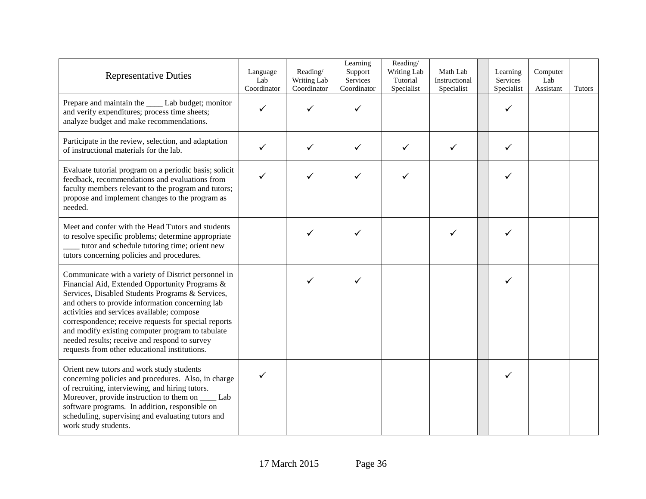| <b>Representative Duties</b>                                                                                                                                                                                                                                                                                                                                                                                                                                              | Language<br>Lab<br>Coordinator | Reading/<br>Writing Lab<br>Coordinator | Learning<br>Support<br>Services<br>Coordinator | Reading/<br>Writing Lab<br>Tutorial<br>Specialist | Math Lab<br>Instructional<br>Specialist | Learning<br>Services<br>Specialist | Computer<br>Lab<br>Assistant | <b>Tutors</b> |
|---------------------------------------------------------------------------------------------------------------------------------------------------------------------------------------------------------------------------------------------------------------------------------------------------------------------------------------------------------------------------------------------------------------------------------------------------------------------------|--------------------------------|----------------------------------------|------------------------------------------------|---------------------------------------------------|-----------------------------------------|------------------------------------|------------------------------|---------------|
| Prepare and maintain the _____ Lab budget; monitor<br>and verify expenditures; process time sheets;<br>analyze budget and make recommendations.                                                                                                                                                                                                                                                                                                                           | ✓                              |                                        | ✓                                              |                                                   |                                         | ✓                                  |                              |               |
| Participate in the review, selection, and adaptation<br>of instructional materials for the lab.                                                                                                                                                                                                                                                                                                                                                                           | ✓                              | ✓                                      | $\checkmark$                                   | ✓                                                 | ✓                                       | $\checkmark$                       |                              |               |
| Evaluate tutorial program on a periodic basis; solicit<br>feedback, recommendations and evaluations from<br>faculty members relevant to the program and tutors;<br>propose and implement changes to the program as<br>needed.                                                                                                                                                                                                                                             | ✓                              |                                        | ✓                                              |                                                   |                                         | ✓                                  |                              |               |
| Meet and confer with the Head Tutors and students<br>to resolve specific problems; determine appropriate<br>_ tutor and schedule tutoring time; orient new<br>tutors concerning policies and procedures.                                                                                                                                                                                                                                                                  |                                |                                        | ✓                                              |                                                   | ✓                                       | ✓                                  |                              |               |
| Communicate with a variety of District personnel in<br>Financial Aid, Extended Opportunity Programs &<br>Services, Disabled Students Programs & Services,<br>and others to provide information concerning lab<br>activities and services available; compose<br>correspondence; receive requests for special reports<br>and modify existing computer program to tabulate<br>needed results; receive and respond to survey<br>requests from other educational institutions. |                                | ✓                                      | ✓                                              |                                                   |                                         | ✓                                  |                              |               |
| Orient new tutors and work study students<br>concerning policies and procedures. Also, in charge<br>of recruiting, interviewing, and hiring tutors.<br>Moreover, provide instruction to them on _______ Lab<br>software programs. In addition, responsible on<br>scheduling, supervising and evaluating tutors and<br>work study students.                                                                                                                                | ✓                              |                                        |                                                |                                                   |                                         |                                    |                              |               |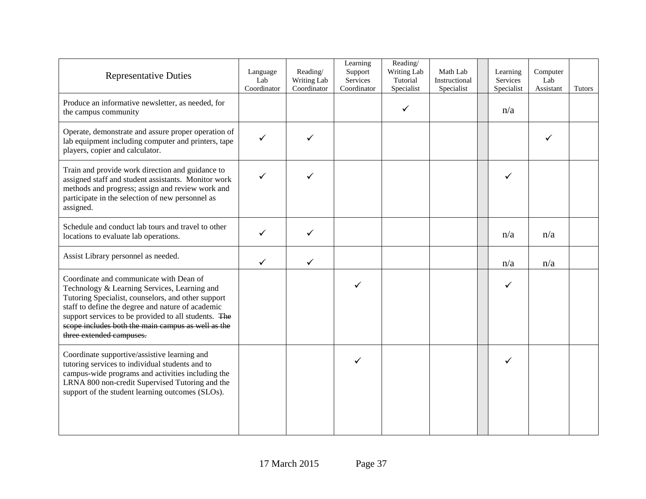| <b>Representative Duties</b>                                                                                                                                                                                                                                                                                                                 | Language<br>Lab<br>Coordinator | Reading/<br>Writing Lab<br>Coordinator | Learning<br>Support<br>Services<br>Coordinator | Reading/<br>Writing Lab<br>Tutorial<br>Specialist | Math Lab<br>Instructional<br>Specialist | Learning<br>Services<br>Specialist | Computer<br>Lab<br>Assistant | Tutors |
|----------------------------------------------------------------------------------------------------------------------------------------------------------------------------------------------------------------------------------------------------------------------------------------------------------------------------------------------|--------------------------------|----------------------------------------|------------------------------------------------|---------------------------------------------------|-----------------------------------------|------------------------------------|------------------------------|--------|
| Produce an informative newsletter, as needed, for<br>the campus community                                                                                                                                                                                                                                                                    |                                |                                        |                                                | ✓                                                 |                                         | n/a                                |                              |        |
| Operate, demonstrate and assure proper operation of<br>lab equipment including computer and printers, tape<br>players, copier and calculator.                                                                                                                                                                                                | $\checkmark$                   |                                        |                                                |                                                   |                                         |                                    |                              |        |
| Train and provide work direction and guidance to<br>assigned staff and student assistants. Monitor work<br>methods and progress; assign and review work and<br>participate in the selection of new personnel as<br>assigned.                                                                                                                 | ✓                              |                                        |                                                |                                                   |                                         | ✓                                  |                              |        |
| Schedule and conduct lab tours and travel to other<br>locations to evaluate lab operations.                                                                                                                                                                                                                                                  | $\checkmark$                   | $\checkmark$                           |                                                |                                                   |                                         | n/a                                | n/a                          |        |
| Assist Library personnel as needed.                                                                                                                                                                                                                                                                                                          | $\checkmark$                   | $\checkmark$                           |                                                |                                                   |                                         | n/a                                | n/a                          |        |
| Coordinate and communicate with Dean of<br>Technology & Learning Services, Learning and<br>Tutoring Specialist, counselors, and other support<br>staff to define the degree and nature of academic<br>support services to be provided to all students. The<br>scope includes both the main campus as well as the<br>three extended campuses. |                                |                                        |                                                |                                                   |                                         | ✓                                  |                              |        |
| Coordinate supportive/assistive learning and<br>tutoring services to individual students and to<br>campus-wide programs and activities including the<br>LRNA 800 non-credit Supervised Tutoring and the<br>support of the student learning outcomes (SLOs).                                                                                  |                                |                                        | ✓                                              |                                                   |                                         | ✓                                  |                              |        |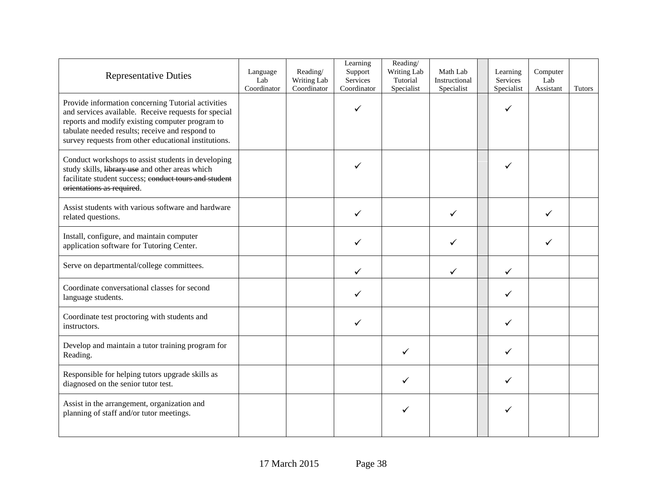| <b>Representative Duties</b>                                                                                                                                                                                                                                             | Language<br>Lab<br>Coordinator | Reading/<br>Writing Lab<br>Coordinator | Learning<br>Support<br>Services<br>Coordinator | Reading/<br>Writing Lab<br>Tutorial<br>Specialist | Math Lab<br>Instructional<br>Specialist | Learning<br>Services<br>Specialist | Computer<br>Lab<br>Assistant | <b>Tutors</b> |
|--------------------------------------------------------------------------------------------------------------------------------------------------------------------------------------------------------------------------------------------------------------------------|--------------------------------|----------------------------------------|------------------------------------------------|---------------------------------------------------|-----------------------------------------|------------------------------------|------------------------------|---------------|
| Provide information concerning Tutorial activities<br>and services available. Receive requests for special<br>reports and modify existing computer program to<br>tabulate needed results; receive and respond to<br>survey requests from other educational institutions. |                                |                                        | ✓                                              |                                                   |                                         | ✓                                  |                              |               |
| Conduct workshops to assist students in developing<br>study skills, library use and other areas which<br>facilitate student success; conduct tours and student<br>orientations as required.                                                                              |                                |                                        |                                                |                                                   |                                         |                                    |                              |               |
| Assist students with various software and hardware<br>related questions.                                                                                                                                                                                                 |                                |                                        |                                                |                                                   | ✓                                       |                                    |                              |               |
| Install, configure, and maintain computer<br>application software for Tutoring Center.                                                                                                                                                                                   |                                |                                        |                                                |                                                   | ✓                                       |                                    | ✓                            |               |
| Serve on departmental/college committees.                                                                                                                                                                                                                                |                                |                                        | ✓                                              |                                                   | ✓                                       | ✓                                  |                              |               |
| Coordinate conversational classes for second<br>language students.                                                                                                                                                                                                       |                                |                                        |                                                |                                                   |                                         | ✓                                  |                              |               |
| Coordinate test proctoring with students and<br>instructors.                                                                                                                                                                                                             |                                |                                        | ✓                                              |                                                   |                                         | ✓                                  |                              |               |
| Develop and maintain a tutor training program for<br>Reading.                                                                                                                                                                                                            |                                |                                        |                                                | $\checkmark$                                      |                                         | ✓                                  |                              |               |
| Responsible for helping tutors upgrade skills as<br>diagnosed on the senior tutor test.                                                                                                                                                                                  |                                |                                        |                                                | ✓                                                 |                                         | ✓                                  |                              |               |
| Assist in the arrangement, organization and<br>planning of staff and/or tutor meetings.                                                                                                                                                                                  |                                |                                        |                                                | ✓                                                 |                                         |                                    |                              |               |